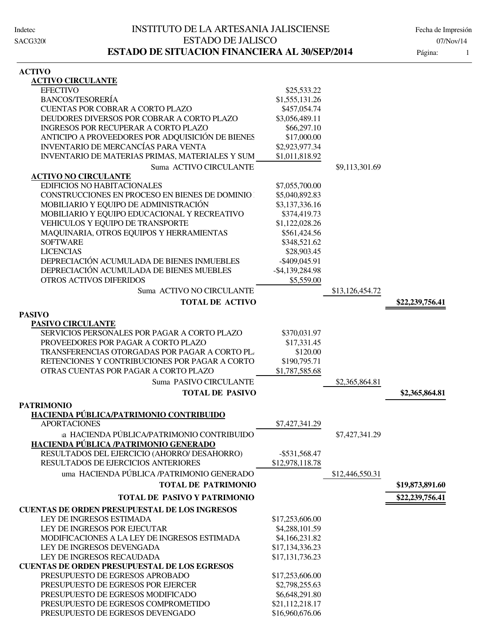| <b>ACTIVO CIRCULANTE</b>                               |                    |                 |                 |
|--------------------------------------------------------|--------------------|-----------------|-----------------|
| <b>EFECTIVO</b>                                        | \$25,533.22        |                 |                 |
| <b>BANCOS/TESORERÍA</b>                                | \$1,555,131.26     |                 |                 |
| <b>CUENTAS POR COBRAR A CORTO PLAZO</b>                | \$457,054.74       |                 |                 |
| DEUDORES DIVERSOS POR COBRAR A CORTO PLAZO             | \$3,056,489.11     |                 |                 |
| INGRESOS POR RECUPERAR A CORTO PLAZO                   | \$66,297.10        |                 |                 |
| ANTICIPO A PROVEEDORES POR ADQUISICIÓN DE BIENES       | \$17,000.00        |                 |                 |
| <b>INVENTARIO DE MERCANCÍAS PARA VENTA</b>             | \$2,923,977.34     |                 |                 |
| <b>INVENTARIO DE MATERIAS PRIMAS, MATERIALES Y SUM</b> | \$1,011,818.92     |                 |                 |
| Suma ACTIVO CIRCULANTE                                 |                    | \$9,113,301.69  |                 |
| <b>ACTIVO NO CIRCULANTE</b>                            |                    |                 |                 |
| <b>EDIFICIOS NO HABITACIONALES</b>                     | \$7,055,700.00     |                 |                 |
| CONSTRUCCIONES EN PROCESO EN BIENES DE DOMINIO         | \$5,040,892.83     |                 |                 |
| MOBILIARIO Y EQUIPO DE ADMINISTRACIÓN                  | \$3,137,336.16     |                 |                 |
| MOBILIARIO Y EQUIPO EDUCACIONAL Y RECREATIVO           | \$374,419.73       |                 |                 |
| VEHICULOS Y EQUIPO DE TRANSPORTE                       | \$1,122,028.26     |                 |                 |
| MAQUINARIA, OTROS EQUIPOS Y HERRAMIENTAS               | \$561,424.56       |                 |                 |
| <b>SOFTWARE</b>                                        | \$348,521.62       |                 |                 |
| <b>LICENCIAS</b>                                       | \$28,903.45        |                 |                 |
| DEPRECIACIÓN ACUMULADA DE BIENES INMUEBLES             | -\$409,045.91      |                 |                 |
| DEPRECIACIÓN ACUMULADA DE BIENES MUEBLES               | $-$ \$4,139,284.98 |                 |                 |
| <b>OTROS ACTIVOS DIFERIDOS</b>                         | \$5,559.00         |                 |                 |
|                                                        |                    |                 |                 |
| Suma ACTIVO NO CIRCULANTE                              |                    | \$13,126,454.72 |                 |
| <b>TOTAL DE ACTIVO</b>                                 |                    |                 | \$22,239,756.41 |
| <b>PASIVO</b>                                          |                    |                 |                 |
| <b>PASIVO CIRCULANTE</b>                               |                    |                 |                 |
| SERVICIOS PERSONALES POR PAGAR A CORTO PLAZO           | \$370,031.97       |                 |                 |
| PROVEEDORES POR PAGAR A CORTO PLAZO                    | \$17,331.45        |                 |                 |
| TRANSFERENCIAS OTORGADAS POR PAGAR A CORTO PL.         | \$120.00           |                 |                 |
| RETENCIONES Y CONTRIBUCIONES POR PAGAR A CORTO         | \$190,795.71       |                 |                 |
| OTRAS CUENTAS POR PAGAR A CORTO PLAZO                  | \$1,787,585.68     |                 |                 |
| Suma PASIVO CIRCULANTE                                 |                    | \$2,365,864.81  |                 |
| <b>TOTAL DE PASIVO</b>                                 |                    |                 | \$2,365,864.81  |
| <b>PATRIMONIO</b>                                      |                    |                 |                 |
| HACIENDA PÚBLICA/PATRIMONIO CONTRIBUIDO                |                    |                 |                 |
| <b>APORTACIONES</b>                                    | \$7,427,341.29     |                 |                 |
| a HACIENDA PÚBLICA/PATRIMONIO CONTRIBUIDO              |                    | \$7,427,341.29  |                 |
| HACIENDA PÚBLICA /PATRIMONIO GENERADO                  |                    |                 |                 |
| RESULTADOS DEL EJERCICIO (AHORRO/ DESAHORRO)           | $-$ \$531,568.47   |                 |                 |
| RESULTADOS DE EJERCICIOS ANTERIORES                    | \$12,978,118.78    |                 |                 |
| uma HACIENDA PÚBLICA /PATRIMONIO GENERADO              |                    |                 |                 |
|                                                        |                    | \$12,446,550.31 |                 |
| <b>TOTAL DE PATRIMONIO</b>                             |                    |                 | \$19,873,891.60 |
| <b>TOTAL DE PASIVO Y PATRIMONIO</b>                    |                    |                 | \$22,239,756.41 |
| <b>CUENTAS DE ORDEN PRESUPUESTAL DE LOS INGRESOS</b>   |                    |                 |                 |
| LEY DE INGRESOS ESTIMADA                               | \$17,253,606.00    |                 |                 |
| LEY DE INGRESOS POR EJECUTAR                           | \$4,288,101.59     |                 |                 |
| MODIFICACIONES A LA LEY DE INGRESOS ESTIMADA           | \$4,166,231.82     |                 |                 |
| LEY DE INGRESOS DEVENGADA                              | \$17,134,336.23    |                 |                 |
| LEY DE INGRESOS RECAUDADA                              | \$17,131,736.23    |                 |                 |
| <b>CUENTAS DE ORDEN PRESUPUESTAL DE LOS EGRESOS</b>    |                    |                 |                 |
| PRESUPUESTO DE EGRESOS APROBADO                        | \$17,253,606.00    |                 |                 |
| PRESUPUESTO DE EGRESOS POR EJERCER                     | \$2,798,255.63     |                 |                 |
| PRESUPUESTO DE EGRESOS MODIFICADO                      | \$6,648,291.80     |                 |                 |
| PRESUPUESTO DE EGRESOS COMPROMETIDO                    | \$21,112,218.17    |                 |                 |
| PRESUPUESTO DE EGRESOS DEVENGADO                       | \$16,960,676.06    |                 |                 |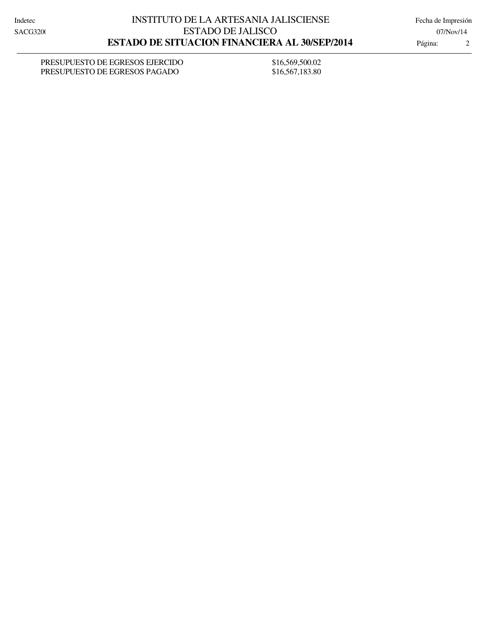PRESUPUESTO DE EGRESOS EJERCIDO \$16,569,500.02 PRESUPUESTO DE EGRESOS PAGADO \$16,567,183.80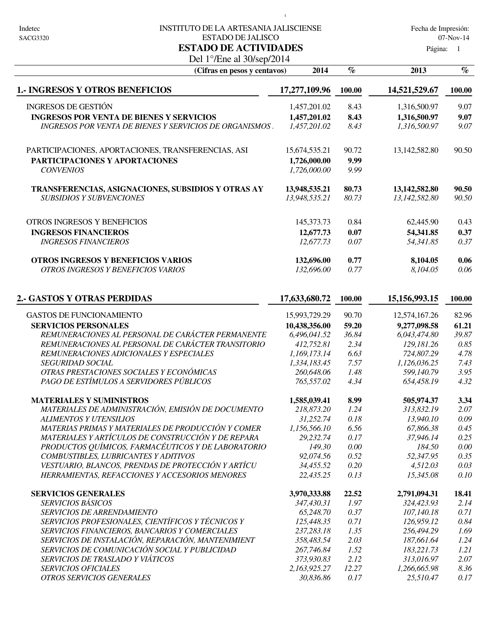#### Indetec 
INSTITUTO DE LA ARTESANIA JALISCIENSE

Indetec

Fecha de Impresión: ESTADO DE JALISCO 07-Nov-14

 $\mathbf{I}$ 

Página: 1

### Del 1°/Ene al 30/sep/2014 **ESTADO DE ACTIVIDADES**

| (Cifras en pesos y centavos)                                  | 2014          | $\%$   | 2013            | $\%$   |
|---------------------------------------------------------------|---------------|--------|-----------------|--------|
| <b>1.- INGRESOS Y OTROS BENEFICIOS</b>                        | 17,277,109.96 | 100.00 | 14,521,529.67   | 100.00 |
| <b>INGRESOS DE GESTIÓN</b>                                    | 1,457,201.02  | 8.43   | 1,316,500.97    | 9.07   |
| <b>INGRESOS POR VENTA DE BIENES Y SERVICIOS</b>               | 1,457,201.02  | 8.43   | 1,316,500.97    | 9.07   |
| <b>INGRESOS POR VENTA DE BIENES Y SERVICIOS DE ORGANISMOS</b> | 1,457,201.02  | 8.43   | 1,316,500.97    | 9.07   |
| PARTICIPACIONES, APORTACIONES, TRANSFERENCIAS, ASI            | 15,674,535.21 | 90.72  | 13,142,582.80   | 90.50  |
| PARTICIPACIONES Y APORTACIONES                                | 1,726,000.00  | 9.99   |                 |        |
| <b>CONVENIOS</b>                                              | 1,726,000.00  | 9.99   |                 |        |
| TRANSFERENCIAS, ASIGNACIONES, SUBSIDIOS Y OTRAS AY            | 13,948,535.21 | 80.73  | 13, 142, 582.80 | 90.50  |
| <b>SUBSIDIOS Y SUBVENCIONES</b>                               | 13,948,535.21 | 80.73  | 13,142,582.80   | 90.50  |
| OTROS INGRESOS Y BENEFICIOS                                   | 145, 373. 73  | 0.84   | 62,445.90       | 0.43   |
| <b>INGRESOS FINANCIEROS</b>                                   | 12,677.73     | 0.07   | 54,341.85       | 0.37   |
| <b>INGRESOS FINANCIEROS</b>                                   | 12,677.73     | 0.07   | 54,341.85       | 0.37   |
| OTROS INGRESOS Y BENEFICIOS VARIOS                            | 132,696.00    | 0.77   | 8,104.05        | 0.06   |
| OTROS INGRESOS Y BENEFICIOS VARIOS                            | 132,696.00    | 0.77   | 8,104.05        | 0.06   |
| 2. GASTOS Y OTRAS PERDIDAS                                    | 17,633,680.72 | 100.00 | 15,156,993.15   | 100.00 |
| <b>GASTOS DE FUNCIONAMIENTO</b>                               | 15,993,729.29 | 90.70  | 12,574,167.26   | 82.96  |
| <b>SERVICIOS PERSONALES</b>                                   | 10,438,356.00 | 59.20  | 9,277,098.58    | 61.21  |
| REMUNERACIONES AL PERSONAL DE CARÁCTER PERMANENTE             | 6,496,041.52  | 36.84  | 6,043,474.80    | 39.87  |
| REMUNERACIONES AL PERSONAL DE CARÁCTER TRANSITORIO            | 412,752.81    | 2.34   | 129,181.26      | 0.85   |
| REMUNERACIONES ADICIONALES Y ESPECIALES                       | 1,169,173.14  | 6.63   | 724,807.29      | 4.78   |
| <b>SEGURIDAD SOCIAL</b>                                       | 1,334,183.45  | 7.57   | 1,126,036.25    | 7.43   |
| OTRAS PRESTACIONES SOCIALES Y ECONÓMICAS                      | 260,648.06    | 1.48   | 599,140.79      | 3.95   |
| PAGO DE ESTÍMULOS A SERVIDORES PÚBLICOS                       | 765,557.02    | 4.34   | 654,458.19      | 4.32   |
| <b>MATERIALES Y SUMINISTROS</b>                               | 1,585,039.41  | 8.99   | 505,974.37      | 3.34   |

| MATERIALES DE ADMINISTRACIÓN, EMISIÓN DE DOCUMENTO | 218,873.20   | 1.24  | 313,832.19   | 2.07  |
|----------------------------------------------------|--------------|-------|--------------|-------|
| ALIMENTOS Y UTENSILIOS                             | 31.252.74    | 0.18  | 13.940.10    | 0.09  |
| MATERIAS PRIMAS Y MATERIALES DE PRODUCCIÓN Y COMER | 1.156.566.10 | 6.56  | 67,866.38    | 0.45  |
| MATERIALES Y ARTÍCULOS DE CONSTRUCCIÓN Y DE REPARA | 29.232.74    | 0.17  | 37,946.14    | 0.25  |
| PRODUCTOS QUÍMICOS, FARMACÉUTICOS Y DE LABORATORIO | 149.30       | 0.00  | 184.50       | 0.00  |
| COMBUSTIBLES, LUBRICANTES Y ADITIVOS               | 92,074.56    | 0.52  | 52,347.95    | 0.35  |
| VESTUARIO, BLANCOS, PRENDAS DE PROTECCIÓN Y ARTÍCU | 34,455.52    | 0.20  | 4.512.03     | 0.03  |
| HERRAMIENTAS, REFACCIONES Y ACCESORIOS MENORES     | 22,435.25    | 0.13  | 15,345.08    | 0.10  |
| <b>SERVICIOS GENERALES</b>                         | 3,970,333.88 | 22.52 | 2,791,094.31 | 18.41 |
| <b>SERVICIOS BÁSICOS</b>                           | 347.430.31   | 1.97  | 324,423.93   | 2.14  |
| <b>SERVICIOS DE ARRENDAMIENTO</b>                  | 65,248.70    | 0.37  | 107.140.18   | 0.71  |
| SERVICIOS PROFESIONALES, CIENTÍFICOS Y TÉCNICOS Y  | 125,448.35   | 0.71  | 126,959.12   | 0.84  |
| CEDUICIOS EINANCIEDOS, DANCADIOS V COMEDCIAI ES    | 22729219     | 1.25  | 256 101 20   | 1.60  |

| SERVICIOS BÁSICOS                                  | 347,430.31   | 1.97  | 324,423.93   | 2.14 |
|----------------------------------------------------|--------------|-------|--------------|------|
| <i>SERVICIOS DE ARRENDAMIENTO</i>                  | 65,248.70    | 0.37  | 107.140.18   | 0.71 |
| SERVICIOS PROFESIONALES, CIENTÍFICOS Y TÉCNICOS Y  | 125,448.35   | 0.71  | 126,959.12   | 0.84 |
| SERVICIOS FINANCIEROS, BANCARIOS Y COMERCIALES     | 237, 283, 18 | 1.35  | 256.494.29   | 1.69 |
| SERVICIOS DE INSTALACIÓN, REPARACIÓN, MANTENIMIENT | 358,483.54   | 2.03  | 187.661.64   | 1.24 |
| SERVICIOS DE COMUNICACIÓN SOCIAL Y PUBLICIDAD      | 267,746.84   | 1.52  | 183.221.73   | 1.21 |
| SERVICIOS DE TRASLADO Y VIÁTICOS                   | 373.930.83   | 2.12  | 313.016.97   | 2.07 |
| <i>SERVICIOS OFICIALES</i>                         | 2.163.925.27 | 12.27 | 1,266,665.98 | 8.36 |
| OTROS SERVICIOS GENERALES                          | 30.836.86    | 0.17  | 25,510.47    | 0.17 |
|                                                    |              |       |              |      |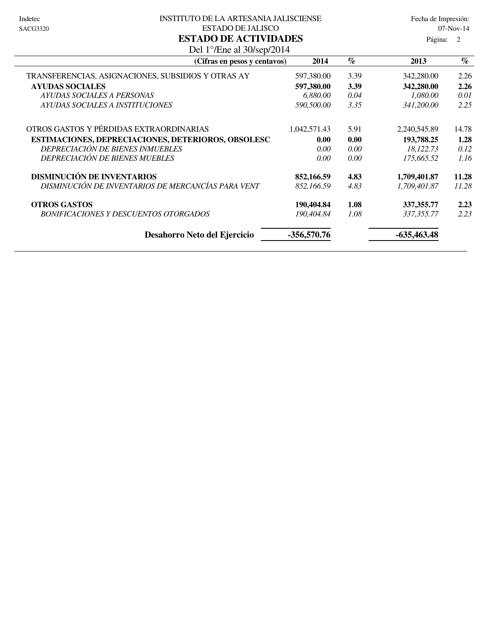#### Indetec 
Solomon Institution DE LA ARTESANIA JALISCIENSE Fecha de Impresión: ESTADO DE JALISCO 07-Nov-14 **ESTADO DE ACTIVIDADES**

| (Cifras en pesos y centavos)                       | 2014          | $\%$ | 2013          | $\%$  |
|----------------------------------------------------|---------------|------|---------------|-------|
| TRANSFERENCIAS, ASIGNACIONES, SUBSIDIOS Y OTRAS AY | 597,380.00    | 3.39 | 342,280.00    | 2.26  |
| <b>AYUDAS SOCIALES</b>                             | 597,380.00    | 3.39 | 342,280.00    | 2.26  |
| AYUDAS SOCIALES A PERSONAS                         | 6,880.00      | 0.04 | 1.080.00      | 0.01  |
| AYUDAS SOCIALES A INSTITUCIONES                    | 590,500.00    | 3.35 | 341,200.00    | 2.25  |
| OTROS GASTOS Y PÉRDIDAS EXTRAORDINARIAS            | 1,042,571.43  | 5.91 | 2,240,545.89  | 14.78 |
| ESTIMACIONES, DEPRECIACIONES, DETERIOROS, OBSOLESC | 0.00          | 0.00 | 193,788.25    | 1.28  |
| DEPRECIACIÓN DE BIENES INMUEBLES                   | 0.00          | 0.00 | 18,122.73     | 0.12  |
| <b>DEPRECIACIÓN DE BIENES MUEBLES</b>              | 0.00          | 0.00 | 175,665.52    | 1.16  |
| <b>DISMINUCIÓN DE INVENTARIOS</b>                  | 852,166.59    | 4.83 | 1,709,401.87  | 11.28 |
| DISMINUCIÓN DE INVENTARIOS DE MERCANCÍAS PARA VENT | 852,166.59    | 4.83 | 1,709,401.87  | 11.28 |
| <b>OTROS GASTOS</b>                                | 190,404.84    | 1.08 | 337, 355.77   | 2.23  |
| <b>BONIFICACIONES Y DESCUENTOS OTORGADOS</b>       | 190,404.84    | 1.08 | 337,355.77    | 2.23  |
| Desahorro Neto del Ejercicio                       | $-356,570.76$ |      | $-635,463.48$ |       |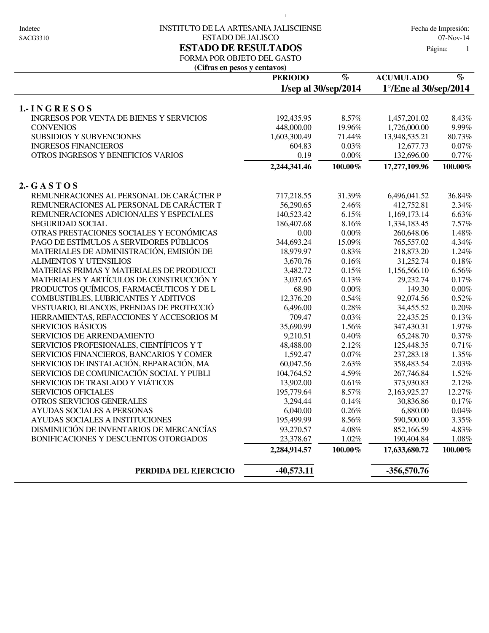#### Indetec 
INSTITUTO DE LA ARTESANIA JALISCIENSE

Indetec

Fecha de Impresión: ESTADO DE JALISCO 07-Nov-14 **ESTADO DE RESULTADOS** Página:

 $\bar{1}$ 

1

## FORMA POR OBJETO DEL GASTO

**(Cifras en pesos y centavos)**

| <b>PERIODO</b> | $\%$                                                                                                                                                                                                                                                                                                                                                                                                                         | <b>ACUMULADO</b>                                                                                                                                                                                                                                                                                             | $\%$                                                                                                                                                                                                                                                                                                                                                                                                                                                                                                                  |
|----------------|------------------------------------------------------------------------------------------------------------------------------------------------------------------------------------------------------------------------------------------------------------------------------------------------------------------------------------------------------------------------------------------------------------------------------|--------------------------------------------------------------------------------------------------------------------------------------------------------------------------------------------------------------------------------------------------------------------------------------------------------------|-----------------------------------------------------------------------------------------------------------------------------------------------------------------------------------------------------------------------------------------------------------------------------------------------------------------------------------------------------------------------------------------------------------------------------------------------------------------------------------------------------------------------|
|                | 1/sep al 30/sep/2014                                                                                                                                                                                                                                                                                                                                                                                                         |                                                                                                                                                                                                                                                                                                              |                                                                                                                                                                                                                                                                                                                                                                                                                                                                                                                       |
|                |                                                                                                                                                                                                                                                                                                                                                                                                                              |                                                                                                                                                                                                                                                                                                              |                                                                                                                                                                                                                                                                                                                                                                                                                                                                                                                       |
|                |                                                                                                                                                                                                                                                                                                                                                                                                                              |                                                                                                                                                                                                                                                                                                              | 8.43%                                                                                                                                                                                                                                                                                                                                                                                                                                                                                                                 |
|                |                                                                                                                                                                                                                                                                                                                                                                                                                              |                                                                                                                                                                                                                                                                                                              | 9.99%                                                                                                                                                                                                                                                                                                                                                                                                                                                                                                                 |
|                |                                                                                                                                                                                                                                                                                                                                                                                                                              |                                                                                                                                                                                                                                                                                                              | 80.73%                                                                                                                                                                                                                                                                                                                                                                                                                                                                                                                |
|                |                                                                                                                                                                                                                                                                                                                                                                                                                              |                                                                                                                                                                                                                                                                                                              | 0.07%                                                                                                                                                                                                                                                                                                                                                                                                                                                                                                                 |
|                |                                                                                                                                                                                                                                                                                                                                                                                                                              |                                                                                                                                                                                                                                                                                                              | $0.77\%$                                                                                                                                                                                                                                                                                                                                                                                                                                                                                                              |
| 2,244,341.46   | $100.00\%$                                                                                                                                                                                                                                                                                                                                                                                                                   | 17,277,109.96                                                                                                                                                                                                                                                                                                | $100.00\%$                                                                                                                                                                                                                                                                                                                                                                                                                                                                                                            |
|                |                                                                                                                                                                                                                                                                                                                                                                                                                              |                                                                                                                                                                                                                                                                                                              |                                                                                                                                                                                                                                                                                                                                                                                                                                                                                                                       |
|                |                                                                                                                                                                                                                                                                                                                                                                                                                              |                                                                                                                                                                                                                                                                                                              | 36.84%                                                                                                                                                                                                                                                                                                                                                                                                                                                                                                                |
|                |                                                                                                                                                                                                                                                                                                                                                                                                                              |                                                                                                                                                                                                                                                                                                              | 2.34%                                                                                                                                                                                                                                                                                                                                                                                                                                                                                                                 |
|                |                                                                                                                                                                                                                                                                                                                                                                                                                              |                                                                                                                                                                                                                                                                                                              | 6.63%                                                                                                                                                                                                                                                                                                                                                                                                                                                                                                                 |
|                |                                                                                                                                                                                                                                                                                                                                                                                                                              |                                                                                                                                                                                                                                                                                                              | 7.57%                                                                                                                                                                                                                                                                                                                                                                                                                                                                                                                 |
|                |                                                                                                                                                                                                                                                                                                                                                                                                                              |                                                                                                                                                                                                                                                                                                              | 1.48%                                                                                                                                                                                                                                                                                                                                                                                                                                                                                                                 |
|                |                                                                                                                                                                                                                                                                                                                                                                                                                              |                                                                                                                                                                                                                                                                                                              | 4.34%                                                                                                                                                                                                                                                                                                                                                                                                                                                                                                                 |
|                |                                                                                                                                                                                                                                                                                                                                                                                                                              |                                                                                                                                                                                                                                                                                                              | 1.24%                                                                                                                                                                                                                                                                                                                                                                                                                                                                                                                 |
|                |                                                                                                                                                                                                                                                                                                                                                                                                                              |                                                                                                                                                                                                                                                                                                              | 0.18%                                                                                                                                                                                                                                                                                                                                                                                                                                                                                                                 |
|                |                                                                                                                                                                                                                                                                                                                                                                                                                              |                                                                                                                                                                                                                                                                                                              | $6.56\%$                                                                                                                                                                                                                                                                                                                                                                                                                                                                                                              |
|                |                                                                                                                                                                                                                                                                                                                                                                                                                              |                                                                                                                                                                                                                                                                                                              | 0.17%                                                                                                                                                                                                                                                                                                                                                                                                                                                                                                                 |
|                |                                                                                                                                                                                                                                                                                                                                                                                                                              |                                                                                                                                                                                                                                                                                                              | $0.00\%$                                                                                                                                                                                                                                                                                                                                                                                                                                                                                                              |
|                |                                                                                                                                                                                                                                                                                                                                                                                                                              |                                                                                                                                                                                                                                                                                                              | 0.52%                                                                                                                                                                                                                                                                                                                                                                                                                                                                                                                 |
|                |                                                                                                                                                                                                                                                                                                                                                                                                                              |                                                                                                                                                                                                                                                                                                              | 0.20%                                                                                                                                                                                                                                                                                                                                                                                                                                                                                                                 |
|                |                                                                                                                                                                                                                                                                                                                                                                                                                              |                                                                                                                                                                                                                                                                                                              | 0.13%                                                                                                                                                                                                                                                                                                                                                                                                                                                                                                                 |
|                |                                                                                                                                                                                                                                                                                                                                                                                                                              |                                                                                                                                                                                                                                                                                                              | 1.97%                                                                                                                                                                                                                                                                                                                                                                                                                                                                                                                 |
|                |                                                                                                                                                                                                                                                                                                                                                                                                                              |                                                                                                                                                                                                                                                                                                              | 0.37%                                                                                                                                                                                                                                                                                                                                                                                                                                                                                                                 |
|                |                                                                                                                                                                                                                                                                                                                                                                                                                              |                                                                                                                                                                                                                                                                                                              | 0.71%                                                                                                                                                                                                                                                                                                                                                                                                                                                                                                                 |
|                |                                                                                                                                                                                                                                                                                                                                                                                                                              |                                                                                                                                                                                                                                                                                                              | 1.35%                                                                                                                                                                                                                                                                                                                                                                                                                                                                                                                 |
|                |                                                                                                                                                                                                                                                                                                                                                                                                                              |                                                                                                                                                                                                                                                                                                              | 2.03%                                                                                                                                                                                                                                                                                                                                                                                                                                                                                                                 |
|                |                                                                                                                                                                                                                                                                                                                                                                                                                              |                                                                                                                                                                                                                                                                                                              | 1.52%                                                                                                                                                                                                                                                                                                                                                                                                                                                                                                                 |
|                |                                                                                                                                                                                                                                                                                                                                                                                                                              |                                                                                                                                                                                                                                                                                                              | 2.12%                                                                                                                                                                                                                                                                                                                                                                                                                                                                                                                 |
|                |                                                                                                                                                                                                                                                                                                                                                                                                                              |                                                                                                                                                                                                                                                                                                              | 12.27%                                                                                                                                                                                                                                                                                                                                                                                                                                                                                                                |
|                |                                                                                                                                                                                                                                                                                                                                                                                                                              |                                                                                                                                                                                                                                                                                                              | 0.17%                                                                                                                                                                                                                                                                                                                                                                                                                                                                                                                 |
|                |                                                                                                                                                                                                                                                                                                                                                                                                                              |                                                                                                                                                                                                                                                                                                              | 0.04%                                                                                                                                                                                                                                                                                                                                                                                                                                                                                                                 |
|                |                                                                                                                                                                                                                                                                                                                                                                                                                              |                                                                                                                                                                                                                                                                                                              | 3.35%                                                                                                                                                                                                                                                                                                                                                                                                                                                                                                                 |
|                |                                                                                                                                                                                                                                                                                                                                                                                                                              |                                                                                                                                                                                                                                                                                                              | 4.83%                                                                                                                                                                                                                                                                                                                                                                                                                                                                                                                 |
|                | 1.02%                                                                                                                                                                                                                                                                                                                                                                                                                        |                                                                                                                                                                                                                                                                                                              | $1.08\%$                                                                                                                                                                                                                                                                                                                                                                                                                                                                                                              |
| 2,284,914.57   | 100.00%                                                                                                                                                                                                                                                                                                                                                                                                                      | 17,633,680.72                                                                                                                                                                                                                                                                                                | 100.00%                                                                                                                                                                                                                                                                                                                                                                                                                                                                                                               |
|                |                                                                                                                                                                                                                                                                                                                                                                                                                              |                                                                                                                                                                                                                                                                                                              |                                                                                                                                                                                                                                                                                                                                                                                                                                                                                                                       |
|                | 192,435.95<br>448,000.00<br>1,603,300.49<br>604.83<br>0.19<br>717,218.55<br>56,290.65<br>140,523.42<br>186,407.68<br>0.00<br>344,693.24<br>18,979.97<br>3,670.76<br>3,482.72<br>3,037.65<br>68.90<br>12,376.20<br>6,496.00<br>709.47<br>35,690.99<br>9,210.51<br>48,488.00<br>1,592.47<br>60,047.56<br>104,764.52<br>13,902.00<br>195,779.64<br>3,294.44<br>6,040.00<br>195,499.99<br>93,270.57<br>23,378.67<br>$-40,573.11$ | 8.57%<br>19.96%<br>71.44%<br>0.03%<br>$0.00\%$<br>31.39%<br>2.46%<br>$6.15\%$<br>8.16%<br>$0.00\%$<br>15.09%<br>0.83%<br>0.16%<br>$0.15\%$<br>0.13%<br>$0.00\%$<br>$0.54\%$<br>0.28%<br>0.03%<br>$1.56\%$<br>0.40%<br>2.12%<br>0.07%<br>2.63%<br>4.59%<br>0.61%<br>8.57%<br>0.14%<br>0.26%<br>8.56%<br>4.08% | $1^{\circ}$ /Ene al 30/sep/2014<br>1,457,201.02<br>1,726,000.00<br>13,948,535.21<br>12,677.73<br>132,696.00<br>6,496,041.52<br>412,752.81<br>1,169,173.14<br>1,334,183.45<br>260,648.06<br>765,557.02<br>218,873.20<br>31,252.74<br>1,156,566.10<br>29,232.74<br>149.30<br>92,074.56<br>34,455.52<br>22,435.25<br>347,430.31<br>65,248.70<br>125,448.35<br>237, 283. 18<br>358,483.54<br>267,746.84<br>373,930.83<br>2,163,925.27<br>30,836.86<br>6,880.00<br>590,500.00<br>852,166.59<br>190,404.84<br>$-356,570.76$ |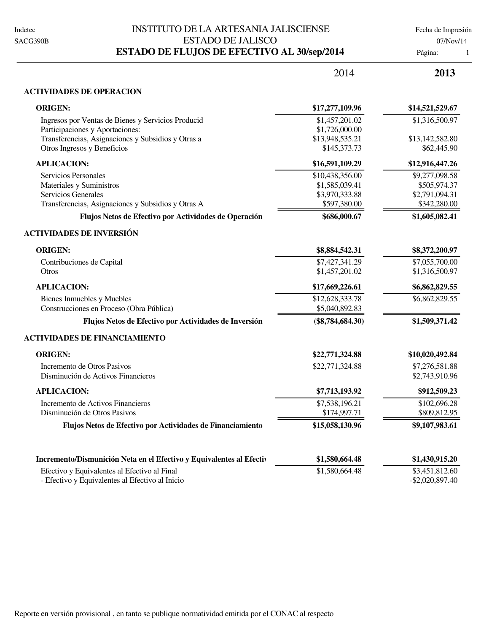## INSTITUTO DE LA ARTESANIA JALISCIENSE Fecha de Impresión ESTADO DE JALISCO 07/Nov/14 **ESTADO DE FLUJOS DE EFECTIVO AL 30/sep/2014** Página: 1

|                                                                                                 | 2014               | 2013                                 |
|-------------------------------------------------------------------------------------------------|--------------------|--------------------------------------|
| <b>ACTIVIDADES DE OPERACION</b>                                                                 |                    |                                      |
| <b>ORIGEN:</b>                                                                                  | \$17,277,109.96    | \$14,521,529.67                      |
| Ingresos por Ventas de Bienes y Servicios Producid                                              | \$1,457,201.02     | \$1,316,500.97                       |
| Participaciones y Aportaciones:                                                                 | \$1,726,000.00     |                                      |
| Transferencias, Asignaciones y Subsidios y Otras a                                              | \$13,948,535.21    | \$13,142,582.80                      |
| Otros Ingresos y Beneficios                                                                     | \$145,373.73       | \$62,445.90                          |
| <b>APLICACION:</b>                                                                              | \$16,591,109.29    | \$12,916,447.26                      |
| Servicios Personales                                                                            | \$10,438,356.00    | \$9,277,098.58                       |
| Materiales y Suministros                                                                        | \$1,585,039.41     | \$505,974.37                         |
| Servicios Generales                                                                             | \$3,970,333.88     | \$2,791,094.31                       |
| Transferencias, Asignaciones y Subsidios y Otras A                                              | \$597,380.00       | \$342,280.00                         |
| Flujos Netos de Efectivo por Actividades de Operación                                           | \$686,000.67       | \$1,605,082.41                       |
| <b>ACTIVIDADES DE INVERSIÓN</b>                                                                 |                    |                                      |
| <b>ORIGEN:</b>                                                                                  | \$8,884,542.31     | \$8,372,200.97                       |
| Contribuciones de Capital                                                                       | \$7,427,341.29     | \$7,055,700.00                       |
| Otros                                                                                           | \$1,457,201.02     | \$1,316,500.97                       |
| <b>APLICACION:</b>                                                                              | \$17,669,226.61    | \$6,862,829.55                       |
| <b>Bienes Inmuebles y Muebles</b>                                                               | \$12,628,333.78    | \$6,862,829.55                       |
| Construcciones en Proceso (Obra Pública)                                                        | \$5,040,892.83     |                                      |
| Flujos Netos de Efectivo por Actividades de Inversión                                           | $(\$8,784,684.30)$ | \$1,509,371.42                       |
| <b>ACTIVIDADES DE FINANCIAMIENTO</b>                                                            |                    |                                      |
| <b>ORIGEN:</b>                                                                                  | \$22,771,324.88    | \$10,020,492.84                      |
| Incremento de Otros Pasivos                                                                     | \$22,771,324.88    | \$7,276,581.88                       |
| Disminución de Activos Financieros                                                              |                    | \$2,743,910.96                       |
| <b>APLICACION:</b>                                                                              | \$7,713,193.92     | \$912,509.23                         |
| Incremento de Activos Financieros                                                               | \$7,538,196.21     | \$102,696.28                         |
| Disminución de Otros Pasivos                                                                    | \$174,997.71       | \$809,812.95                         |
| Flujos Netos de Efectivo por Actividades de Financiamiento                                      | \$15,058,130.96    | \$9,107,983.61                       |
| Incremento/Dismunición Neta en el Efectivo y Equivalentes al Efectiv                            | \$1,580,664.48     | \$1,430,915.20                       |
|                                                                                                 |                    |                                      |
| Efectivo y Equivalentes al Efectivo al Final<br>- Efectivo y Equivalentes al Efectivo al Inicio | \$1,580,664.48     | \$3,451,812.60<br>$-$ \$2,020,897.40 |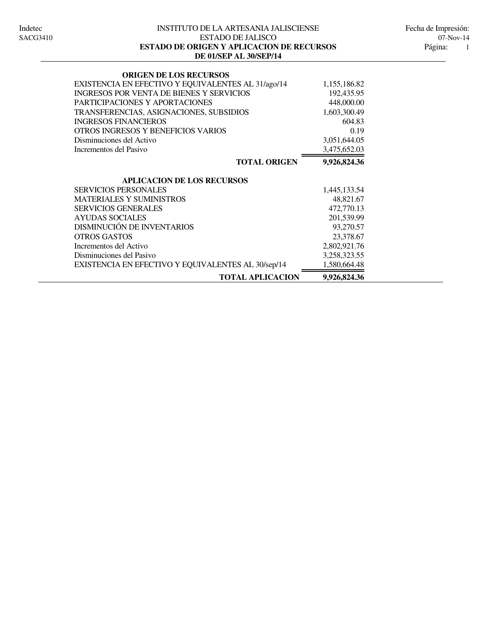#### INSTITUTO DE LA ARTESANIA JALISCIENSE Indetec Fecha de Impresión: ESTADO DE JALISCO 07-Nov-14 **DE 01/SEP AL 30/SEP/14 ESTADO DE ORIGEN Y APLICACION DE RECURSOS** Página:

| <b>ORIGEN DE LOS RECURSOS</b>                      |              |
|----------------------------------------------------|--------------|
| EXISTENCIA EN EFECTIVO Y EQUIVALENTES AL 31/ago/14 | 1,155,186.82 |
| <b>INGRESOS POR VENTA DE BIENES Y SERVICIOS</b>    | 192,435.95   |
| PARTICIPACIONES Y APORTACIONES                     | 448,000.00   |
| TRANSFERENCIAS, ASIGNACIONES, SUBSIDIOS            | 1,603,300.49 |
| <b>INGRESOS FINANCIEROS</b>                        | 604.83       |
| OTROS INGRESOS Y BENEFICIOS VARIOS                 | 0.19         |
| Disminuciones del Activo                           | 3,051,644.05 |
| Incrementos del Pasivo                             | 3,475,652.03 |
| <b>TOTAL ORIGEN</b>                                | 9,926,824.36 |
| <b>APLICACION DE LOS RECURSOS</b>                  |              |
| <b>SERVICIOS PERSONALES</b>                        | 1,445,133.54 |
| <b>MATERIALES Y SUMINISTROS</b>                    | 48,821.67    |
| <b>SERVICIOS GENERALES</b>                         | 472,770.13   |
| <b>AYUDAS SOCIALES</b>                             | 201,539.99   |
| <b>DISMINUCIÓN DE INVENTARIOS</b>                  | 93,270.57    |
| <b>OTROS GASTOS</b>                                | 23,378.67    |
| Incrementos del Activo                             | 2,802,921.76 |
| Disminuciones del Pasivo                           | 3,258,323.55 |
| EXISTENCIA EN EFECTIVO Y EQUIVALENTES AL 30/sep/14 | 1,580,664.48 |
| <b>TOTAL APLICACION</b>                            | 9,926,824.36 |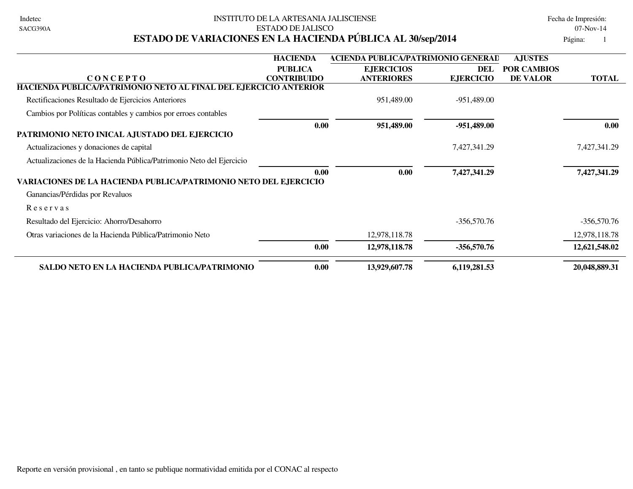| Indetec  |
|----------|
| SACG390A |

### INSTITUTO DE LA ARTESANIA JALISCIENSE EN ENTRE EN ENTRE Fecha de Impresión: ESTADO DE JALISCO 07-Nov-14 **ESTADO DE VARIACIONES EN LA HACIENDA PÚBLICA AL 30/sep/2014** Página: 1

|                                                                         | <b>HACIENDA</b>    | <b>ACIENDA PUBLICA/PATRIMONIO GENERAD</b> |                  | <b>AJUSTES</b>     |               |
|-------------------------------------------------------------------------|--------------------|-------------------------------------------|------------------|--------------------|---------------|
|                                                                         | <b>PUBLICA</b>     | <b>EJERCICIOS</b>                         | DEL              | <b>POR CAMBIOS</b> |               |
| <b>CONCEPTO</b>                                                         | <b>CONTRIBUIDO</b> | <b>ANTERIORES</b>                         | <b>EJERCICIO</b> | DE VALOR           | <b>TOTAL</b>  |
| HACIENDA PUBLICA/PATRIMONIO NETO AL FINAL DEL EJERCICIO ANTERIOR        |                    |                                           |                  |                    |               |
| Rectificaciones Resultado de Ejercicios Anteriores                      |                    | 951,489.00                                | $-951,489.00$    |                    |               |
| Cambios por Políticas contables y cambios por erroes contables          |                    |                                           |                  |                    |               |
|                                                                         | 0.00               | 951,489.00                                | $-951,489.00$    |                    | 0.00          |
| PATRIMONIO NETO INICAL AJUSTADO DEL EJERCICIO                           |                    |                                           |                  |                    |               |
| Actualizaciones y donaciones de capital                                 |                    |                                           | 7,427,341.29     |                    | 7,427,341.29  |
| Actualizaciones de la Hacienda Pública/Patrimonio Neto del Ejercicio    |                    |                                           |                  |                    |               |
|                                                                         | 0.00               | 0.00                                      | 7,427,341.29     |                    | 7,427,341.29  |
| <b>VARIACIONES DE LA HACIENDA PUBLICA/PATRIMONIO NETO DEL EJERCICIO</b> |                    |                                           |                  |                    |               |
| Ganancias/Pérdidas por Revaluos                                         |                    |                                           |                  |                    |               |
| Reservas                                                                |                    |                                           |                  |                    |               |
| Resultado del Ejercicio: Ahorro/Desahorro                               |                    |                                           | $-356,570.76$    |                    | $-356,570.76$ |
| Otras variaciones de la Hacienda Pública/Patrimonio Neto                |                    | 12,978,118.78                             |                  |                    | 12,978,118.78 |
|                                                                         | 0.00               | 12,978,118.78                             | $-356,570.76$    |                    | 12,621,548.02 |
| SALDO NETO EN LA HACIENDA PUBLICA/PATRIMONIO                            | 0.00               | 13,929,607.78                             | 6,119,281.53     |                    | 20,048,889.31 |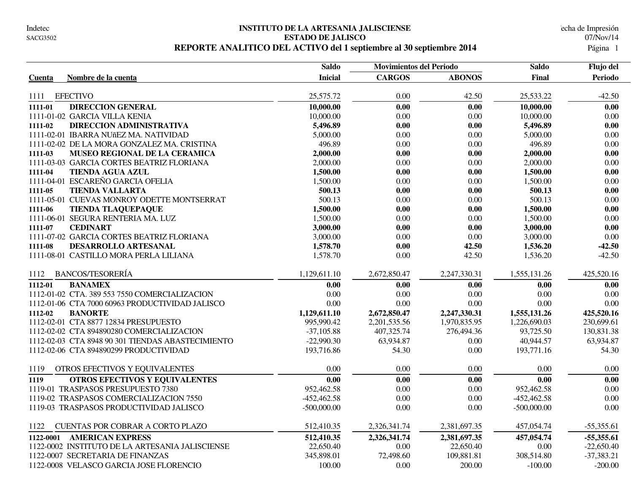#### **INSTITUTO DE LA ARTESANIA JALISCIENSE** Indetec Fecha de Impresión **ESTADO DE JALISCO** 07/Nov/14 REPORTE ANALITICO DEL ACTIVO del 1 septiembre al 30 septiembre 2014

|                                                   | <b>Saldo</b>   | <b>Movimientos del Periodo</b> |               | <b>Saldo</b>  | Flujo del    |
|---------------------------------------------------|----------------|--------------------------------|---------------|---------------|--------------|
| Nombre de la cuenta<br><b>Cuenta</b>              | <b>Inicial</b> | <b>CARGOS</b>                  | <b>ABONOS</b> | Final         | Periodo      |
|                                                   |                |                                |               |               |              |
| <b>EFECTIVO</b><br>1111                           | 25,575.72      | 0.00                           | 42.50         | 25,533.22     | $-42.50$     |
| <b>DIRECCION GENERAL</b><br>1111-01               | 10,000.00      | 0.00                           | 0.00          | 10,000.00     | 0.00         |
| 1111-01-02 GARCIA VILLA KENIA                     | 10,000.00      | 0.00                           | 0.00          | 10,000.00     | 0.00         |
| 1111-02<br>DIRECCION ADMINISTRATIVA               | 5,496.89       | 0.00                           | 0.00          | 5,496.89      | 0.00         |
| 1111-02-01 IBARRA NUñEZ MA. NATIVIDAD             | 5,000.00       | 0.00                           | 0.00          | 5,000.00      | 0.00         |
| 1111-02-02 DE LA MORA GONZALEZ MA. CRISTINA       | 496.89         | 0.00                           | 0.00          | 496.89        | 0.00         |
| 1111-03<br>MUSEO REGIONAL DE LA CERAMICA          | 2,000.00       | 0.00                           | 0.00          | 2,000.00      | 0.00         |
| 1111-03-03 GARCIA CORTES BEATRIZ FLORIANA         | 2,000.00       | 0.00                           | $0.00\,$      | 2,000.00      | 0.00         |
| 1111-04<br><b>TIENDA AGUA AZUL</b>                | 1,500.00       | 0.00                           | 0.00          | 1,500.00      | 0.00         |
| 1111-04-01 ESCAREÑO GARCIA OFELIA                 | 1,500.00       | 0.00                           | 0.00          | 1,500.00      | 0.00         |
| <b>TIENDA VALLARTA</b><br>1111-05                 | 500.13         | 0.00                           | 0.00          | 500.13        | 0.00         |
| 1111-05-01 CUEVAS MONROY ODETTE MONTSERRAT        | 500.13         | 0.00                           | 0.00          | 500.13        | $0.00\,$     |
| 1111-06<br><b>TIENDA TLAQUEPAQUE</b>              | 1,500.00       | 0.00                           | 0.00          | 1,500.00      | 0.00         |
| 1111-06-01 SEGURA RENTERIA MA. LUZ                | 1,500.00       | 0.00                           | 0.00          | 1,500.00      | 0.00         |
| <b>CEDINART</b><br>1111-07                        | 3,000.00       | 0.00                           | 0.00          | 3,000.00      | 0.00         |
| 1111-07-02 GARCIA CORTES BEATRIZ FLORIANA         | 3,000.00       | 0.00                           | 0.00          | 3,000.00      | 0.00         |
| 1111-08<br>DESARROLLO ARTESANAL                   | 1,578.70       | 0.00                           | 42.50         | 1,536.20      | $-42.50$     |
| 1111-08-01 CASTILLO MORA PERLA LILIANA            | 1,578.70       | 0.00                           | 42.50         | 1,536.20      | $-42.50$     |
| <b>BANCOS/TESORERÍA</b><br>1112                   | 1,129,611.10   | 2,672,850.47                   | 2,247,330.31  | 1,555,131.26  | 425,520.16   |
| <b>BANAMEX</b><br>1112-01                         | 0.00           | 0.00                           | 0.00          | 0.00          | 0.00         |
| 1112-01-02 CTA. 389 553 7550 COMERCIALIZACION     | 0.00           | 0.00                           | 0.00          | 0.00          | 0.00         |
| 1112-01-06 CTA 7000 60963 PRODUCTIVIDAD JALISCO   | 0.00           | 0.00                           | 0.00          | 0.00          | 0.00         |
| 1112-02<br><b>BANORTE</b>                         | 1,129,611.10   | 2,672,850.47                   | 2,247,330.31  | 1,555,131.26  | 425,520.16   |
| 1112-02-01 CTA 8877 12834 PRESUPUESTO             | 995,990.42     | 2,201,535.56                   | 1,970,835.95  | 1,226,690.03  | 230,699.61   |
| 1112-02-02 CTA 894890280 COMERCIALIZACION         | $-37,105.88$   | 407,325.74                     | 276,494.36    | 93,725.50     | 130,831.38   |
| 1112-02-03 CTA 8948 90 301 TIENDAS ABASTECIMIENTO | $-22,990.30$   | 63,934.87                      | $0.00\,$      | 40,944.57     | 63,934.87    |
| 1112-02-06 CTA 894890299 PRODUCTIVIDAD            | 193,716.86     | 54.30                          | 0.00          | 193,771.16    | 54.30        |
| 1119<br>OTROS EFECTIVOS Y EQUIVALENTES            | 0.00           | 0.00                           | $0.00\,$      | 0.00          | 0.00         |
| <b>OTROS EFECTIVOS Y EQUIVALENTES</b><br>1119     | 0.00           | 0.00                           | 0.00          | 0.00          | 0.00         |
| 1119-01 TRASPASOS PRESUPUESTO 7380                | 952,462.58     | 0.00                           | 0.00          | 952,462.58    | 0.00         |
| 1119-02 TRASPASOS COMERCIALIZACION 7550           | $-452,462.58$  | 0.00                           | 0.00          | $-452,462.58$ | 0.00         |
| 1119-03 TRASPASOS PRODUCTIVIDAD JALISCO           | $-500,000.00$  | 0.00                           | 0.00          | $-500,000.00$ | 0.00         |
| CUENTAS POR COBRAR A CORTO PLAZO<br>1122          | 512,410.35     | 2,326,341.74                   | 2,381,697.35  | 457,054.74    | $-55,355.61$ |
| 1122-0001 AMERICAN EXPRESS                        | 512,410.35     | 2,326,341.74                   | 2,381,697.35  | 457,054.74    | $-55,355.61$ |
| 1122-0002 INSTITUTO DE LA ARTESANIA JALISCIENSE   | 22,650.40      | 0.00                           | 22,650.40     | 0.00          | $-22,650.40$ |
| 1122-0007 SECRETARIA DE FINANZAS                  | 345,898.01     | 72,498.60                      | 109,881.81    | 308,514.80    | $-37,383.21$ |
| 1122-0008 VELASCO GARCIA JOSE FLORENCIO           | 100.00         | 0.00                           | 200.00        | $-100.00$     | $-200.00$    |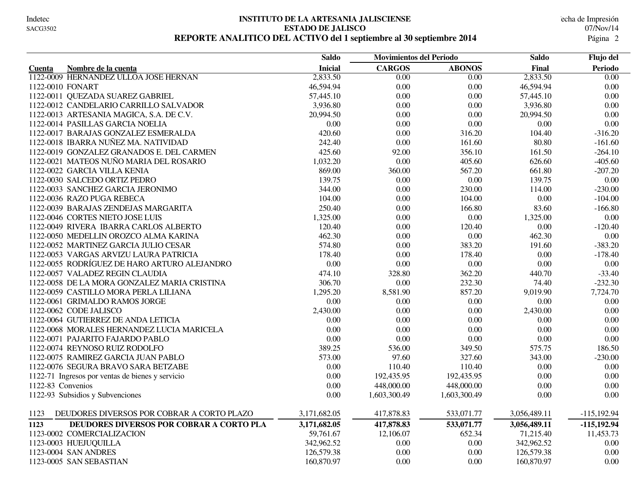#### **INSTITUTO DE LA ARTESANIA JALISCIENSE** Indetec Fecha de Impresión **ESTADO DE JALISCO** 07/Nov/14 REPORTE ANALITICO DEL ACTIVO del 1 septiembre al 30 septiembre 2014

|                                                    | <b>Saldo</b>   | <b>Movimientos del Periodo</b> |               | <b>Saldo</b> | Flujo del         |
|----------------------------------------------------|----------------|--------------------------------|---------------|--------------|-------------------|
| Nombre de la cuenta<br>Cuenta                      | <b>Inicial</b> | <b>CARGOS</b>                  | <b>ABONOS</b> | Final        | Periodo           |
| 1122-0009 HERNANDEZ ULLOA JOSE HERNAN              | 2,833.50       | $\overline{0.00}$              | 0.00          | 2,833.50     | $\overline{0.00}$ |
| 1122-0010 FONART                                   | 46,594.94      | 0.00                           | 0.00          | 46,594.94    | $0.00\,$          |
| 1122-0011 QUEZADA SUAREZ GABRIEL                   | 57,445.10      | 0.00                           | 0.00          | 57,445.10    | 0.00              |
| 1122-0012 CANDELARIO CARRILLO SALVADOR             | 3,936.80       | 0.00                           | 0.00          | 3,936.80     | $0.00\,$          |
| 1122-0013 ARTESANIA MAGICA, S.A. DE C.V.           | 20,994.50      | 0.00                           | 0.00          | 20,994.50    | 0.00              |
| 1122-0014 PASILLAS GARCIA NOELIA                   | 0.00           | 0.00                           | 0.00          | 0.00         | 0.00              |
| 1122-0017 BARAJAS GONZALEZ ESMERALDA               | 420.60         | 0.00                           | 316.20        | 104.40       | $-316.20$         |
| 1122-0018 IBARRA NUÑEZ MA. NATIVIDAD               | 242.40         | 0.00                           | 161.60        | 80.80        | $-161.60$         |
| 1122-0019 GONZALEZ GRANADOS E. DEL CARMEN          | 425.60         | 92.00                          | 356.10        | 161.50       | $-264.10$         |
| 1122-0021 MATEOS NUÑO MARIA DEL ROSARIO            | 1,032.20       | 0.00                           | 405.60        | 626.60       | $-405.60$         |
| 1122-0022 GARCIA VILLA KENIA                       | 869.00         | 360.00                         | 567.20        | 661.80       | $-207.20$         |
| 1122-0030 SALCEDO ORTIZ PEDRO                      | 139.75         | 0.00                           | 0.00          | 139.75       | 0.00              |
| 1122-0033 SANCHEZ GARCIA JERONIMO                  | 344.00         | 0.00                           | 230.00        | 114.00       | $-230.00$         |
| 1122-0036 RAZO PUGA REBECA                         | 104.00         | 0.00                           | 104.00        | 0.00         | $-104.00$         |
| 1122-0039 BARAJAS ZENDEJAS MARGARITA               | 250.40         | 0.00                           | 166.80        | 83.60        | $-166.80$         |
| 1122-0046 CORTES NIETO JOSE LUIS                   | 1,325.00       | 0.00                           | 0.00          | 1,325.00     | $0.00\,$          |
| 1122-0049 RIVERA IBARRA CARLOS ALBERTO             | 120.40         | 0.00                           | 120.40        | 0.00         | $-120.40$         |
| 1122-0050 MEDELLIN OROZCO ALMA KARINA              | 462.30         | 0.00                           | 0.00          | 462.30       | 0.00              |
| 1122-0052 MARTINEZ GARCIA JULIO CESAR              | 574.80         | 0.00                           | 383.20        | 191.60       | $-383.20$         |
| 1122-0053 VARGAS ARVIZU LAURA PATRICIA             | 178.40         | 0.00                           | 178.40        | 0.00         | $-178.40$         |
| 1122-0055 RODRÍGUEZ DE HARO ARTURO ALEJANDRO       | 0.00           | 0.00                           | 0.00          | 0.00         | 0.00              |
| 1122-0057 VALADEZ REGIN CLAUDIA                    | 474.10         | 328.80                         | 362.20        | 440.70       | $-33.40$          |
| 1122-0058 DE LA MORA GONZALEZ MARIA CRISTINA       | 306.70         | 0.00                           | 232.30        | 74.40        | $-232.30$         |
| 1122-0059 CASTILLO MORA PERLA LILIANA              | 1,295.20       | 8,581.90                       | 857.20        | 9,019.90     | 7,724.70          |
| 1122-0061 GRIMALDO RAMOS JORGE                     | 0.00           | 0.00                           | 0.00          | 0.00         | $0.00\,$          |
| 1122-0062 CODE JALISCO                             | 2,430.00       | 0.00                           | 0.00          | 2,430.00     | 0.00              |
| 1122-0064 GUTIERREZ DE ANDA LETICIA                | 0.00           | 0.00                           | 0.00          | 0.00         | $0.00\,$          |
| 1122-0068 MORALES HERNANDEZ LUCIA MARICELA         | 0.00           | 0.00                           | 0.00          | 0.00         | $0.00\,$          |
| 1122-0071 PAJARITO FAJARDO PABLO                   | 0.00           | 0.00                           | 0.00          | 0.00         | 0.00              |
| 1122-0074 REYNOSO RUIZ RODOLFO                     | 389.25         | 536.00                         | 349.50        | 575.75       | 186.50            |
| 1122-0075 RAMIREZ GARCIA JUAN PABLO                | 573.00         | 97.60                          | 327.60        | 343.00       | $-230.00$         |
| 1122-0076 SEGURA BRAVO SARA BETZABE                | 0.00           | 110.40                         | 110.40        | 0.00         | $0.00\,$          |
| 1122-71 Ingresos por ventas de bienes y servicio   | 0.00           | 192,435.95                     | 192,435.95    | 0.00         | 0.00              |
| 1122-83 Convenios                                  | 0.00           | 448,000.00                     | 448,000.00    | $0.00\,$     | $0.00\,$          |
| 1122-93 Subsidios y Subvenciones                   | 0.00           | 1,603,300.49                   | 1,603,300.49  | 0.00         | 0.00              |
| 1123<br>DEUDORES DIVERSOS POR COBRAR A CORTO PLAZO | 3,171,682.05   | 417,878.83                     | 533,071.77    | 3,056,489.11 | $-115,192.94$     |
| 1123<br>DEUDORES DIVERSOS POR COBRAR A CORTO PLA   | 3,171,682.05   | 417,878.83                     | 533,071.77    | 3,056,489.11 | $-115,192.94$     |
| 1123-0002 COMERCIALIZACION                         | 59,761.67      | 12,106.07                      | 652.34        | 71,215.40    | 11,453.73         |
| 1123-0003 HUEJUQUILLA                              | 342,962.52     | 0.00                           | 0.00          | 342,962.52   | $0.00\,$          |
| 1123-0004 SAN ANDRES                               | 126,579.38     | 0.00                           | 0.00          | 126,579.38   | 0.00              |
| 1123-0005 SAN SEBASTIAN                            | 160,870.97     | 0.00                           | 0.00          | 160,870.97   | $0.00\,$          |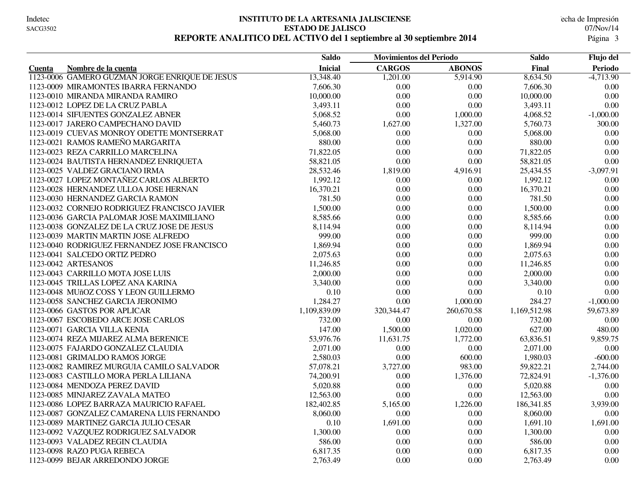#### **INSTITUTO DE LA ARTESANIA JALISCIENSE** Indetec Fecha de Impresión **ESTADO DE JALISCO** 07/Nov/14 REPORTE ANALITICO DEL ACTIVO del 1 septiembre al 30 septiembre 2014

|                                                | <b>Saldo</b>   | <b>Movimientos del Periodo</b> |               | <b>Saldo</b> | Flujo del   |
|------------------------------------------------|----------------|--------------------------------|---------------|--------------|-------------|
| Nombre de la cuenta<br><b>Cuenta</b>           | <b>Inicial</b> | <b>CARGOS</b>                  | <b>ABONOS</b> | Final        | Periodo     |
| 1123-0006 GAMERO GUZMAN JORGE ENRIQUE DE JESUS | 13,348.40      | 1,201.00                       | 5,914.90      | 8,634.50     | $-4,713.90$ |
| 1123-0009 MIRAMONTES IBARRA FERNANDO           | 7,606.30       | 0.00                           | 0.00          | 7,606.30     | $0.00\,$    |
| 1123-0010 MIRANDA MIRANDA RAMIRO               | 10,000.00      | 0.00                           | 0.00          | 10,000.00    | 0.00        |
| 1123-0012 LOPEZ DE LA CRUZ PABLA               | 3,493.11       | 0.00                           | 0.00          | 3,493.11     | 0.00        |
| 1123-0014 SIFUENTES GONZALEZ ABNER             | 5,068.52       | 0.00                           | 1,000.00      | 4,068.52     | $-1,000.00$ |
| 1123-0017 JARERO CAMPECHANO DAVID              | 5,460.73       | 1,627.00                       | 1,327.00      | 5,760.73     | 300.00      |
| 1123-0019 CUEVAS MONROY ODETTE MONTSERRAT      | 5,068.00       | 0.00                           | 0.00          | 5,068.00     | 0.00        |
| 1123-0021 RAMOS RAMEÑO MARGARITA               | 880.00         | 0.00                           | 0.00          | 880.00       | 0.00        |
| 1123-0023 REZA CARRILLO MARCELINA              | 71,822.05      | 0.00                           | 0.00          | 71,822.05    | 0.00        |
| 1123-0024 BAUTISTA HERNANDEZ ENRIQUETA         | 58,821.05      | 0.00                           | 0.00          | 58,821.05    | 0.00        |
| 1123-0025 VALDEZ GRACIANO IRMA                 | 28,532.46      | 1,819.00                       | 4,916.91      | 25,434.55    | $-3,097.91$ |
| 1123-0027 LOPEZ MONTAÑEZ CARLOS ALBERTO        | 1,992.12       | 0.00                           | 0.00          | 1,992.12     | 0.00        |
| 1123-0028 HERNANDEZ ULLOA JOSE HERNAN          | 16,370.21      | 0.00                           | $0.00\,$      | 16,370.21    | $0.00\,$    |
| 1123-0030 HERNANDEZ GARCIA RAMON               | 781.50         | 0.00                           | 0.00          | 781.50       | $0.00\,$    |
| 1123-0032 CORNEJO RODRIGUEZ FRANCISCO JAVIER   | 1,500.00       | 0.00                           | 0.00          | 1,500.00     | 0.00        |
| 1123-0036 GARCIA PALOMAR JOSE MAXIMILIANO      | 8,585.66       | 0.00                           | $0.00\,$      | 8,585.66     | $0.00\,$    |
| 1123-0038 GONZALEZ DE LA CRUZ JOSE DE JESUS    | 8,114.94       | 0.00                           | 0.00          | 8,114.94     | 0.00        |
| 1123-0039 MARTIN MARTIN JOSE ALFREDO           | 999.00         | 0.00                           | 0.00          | 999.00       | 0.00        |
| 1123-0040 RODRIGUEZ FERNANDEZ JOSE FRANCISCO   | 1,869.94       | 0.00                           | $0.00\,$      | 1,869.94     | $0.00\,$    |
| 1123-0041 SALCEDO ORTIZ PEDRO                  | 2,075.63       | 0.00                           | 0.00          | 2,075.63     | $0.00\,$    |
| 1123-0042 ARTESANOS                            | 11,246.85      | 0.00                           | 0.00          | 11,246.85    | 0.00        |
| 1123-0043 CARRILLO MOTA JOSE LUIS              | 2,000.00       | 0.00                           | 0.00          | 2,000.00     | 0.00        |
| 1123-0045 TRILLAS LOPEZ ANA KARINA             | 3,340.00       | 0.00                           | 0.00          | 3,340.00     | 0.00        |
| 1123-0048 MUñOZ COSS Y LEON GUILLERMO          | 0.10           | 0.00                           | 0.00          | 0.10         | 0.00        |
| 1123-0058 SANCHEZ GARCIA JERONIMO              | 1,284.27       | 0.00                           | 1,000.00      | 284.27       | $-1,000.00$ |
| 1123-0066 GASTOS POR APLICAR                   | 1,109,839.09   | 320, 344. 47                   | 260,670.58    | 1,169,512.98 | 59,673.89   |
| 1123-0067 ESCOBEDO ARCE JOSE CARLOS            | 732.00         | 0.00                           | 0.00          | 732.00       | 0.00        |
| 1123-0071 GARCIA VILLA KENIA                   | 147.00         | 1,500.00                       | 1,020.00      | 627.00       | 480.00      |
| 1123-0074 REZA MIJAREZ ALMA BERENICE           | 53,976.76      | 11,631.75                      | 1,772.00      | 63,836.51    | 9,859.75    |
| 1123-0075 FAJARDO GONZALEZ CLAUDIA             | 2,071.00       | 0.00                           | 0.00          | 2,071.00     | $0.00\,$    |
| 1123-0081 GRIMALDO RAMOS JORGE                 | 2,580.03       | 0.00                           | 600.00        | 1,980.03     | $-600.00$   |
| 1123-0082 RAMIREZ MURGUIA CAMILO SALVADOR      | 57,078.21      | 3,727.00                       | 983.00        | 59,822.21    | 2,744.00    |
| 1123-0083 CASTILLO MORA PERLA LILIANA          | 74,200.91      | 0.00                           | 1,376.00      | 72,824.91    | $-1,376.00$ |
| 1123-0084 MENDOZA PEREZ DAVID                  | 5,020.88       | 0.00                           | 0.00          | 5,020.88     | 0.00        |
| 1123-0085 MINJAREZ ZAVALA MATEO                | 12,563.00      | 0.00                           | 0.00          | 12,563.00    | 0.00        |
| 1123-0086 LOPEZ BARRAZA MAURICIO RAFAEL        | 182,402.85     | 5,165.00                       | 1,226.00      | 186, 341.85  | 3,939.00    |
| 1123-0087 GONZALEZ CAMARENA LUIS FERNANDO      | 8,060.00       | 0.00                           | 0.00          | 8,060.00     | 0.00        |
| 1123-0089 MARTINEZ GARCIA JULIO CESAR          | 0.10           | 1,691.00                       | 0.00          | 1,691.10     | 1,691.00    |
| 1123-0092 VAZQUEZ RODRIGUEZ SALVADOR           | 1,300.00       | 0.00                           | 0.00          | 1,300.00     | $0.00\,$    |
| 1123-0093 VALADEZ REGIN CLAUDIA                | 586.00         | 0.00                           | 0.00          | 586.00       | 0.00        |
| 1123-0098 RAZO PUGA REBECA                     | 6,817.35       | 0.00                           | 0.00          | 6,817.35     | 0.00        |
| 1123-0099 BEJAR ARREDONDO JORGE                | 2,763.49       | 0.00                           | 0.00          | 2,763.49     | 0.00        |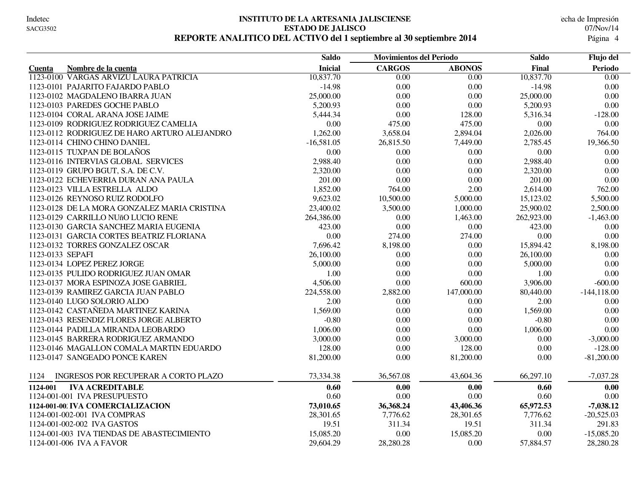#### **INSTITUTO DE LA ARTESANIA JALISCIENSE** Indetec Fecha de Impresión **ESTADO DE JALISCO** 07/Nov/14 **REPORTE ANALITICO DEL ACTIVO del 1 septiembre al 30 septiembre 2014** 4

|                                              | <b>Saldo</b>   | <b>Movimientos del Periodo</b> |               | <b>Saldo</b> | Flujo del      |
|----------------------------------------------|----------------|--------------------------------|---------------|--------------|----------------|
| Nombre de la cuenta<br>Cuenta                | <b>Inicial</b> | <b>CARGOS</b>                  | <b>ABONOS</b> | Final        | Periodo        |
| 1123-0100 VARGAS ARVIZU LAURA PATRICIA       | 10,837.70      | 0.00                           | 0.00          | 10,837.70    | 0.00           |
| 1123-0101 PAJARITO FAJARDO PABLO             | $-14.98$       | 0.00                           | 0.00          | $-14.98$     | 0.00           |
| 1123-0102 MAGDALENO IBARRA JUAN              | 25,000.00      | 0.00                           | 0.00          | 25,000.00    | 0.00           |
| 1123-0103 PAREDES GOCHE PABLO                | 5,200.93       | 0.00                           | 0.00          | 5,200.93     | 0.00           |
| 1123-0104 CORAL ARANA JOSE JAIME             | 5,444.34       | 0.00                           | 128.00        | 5,316.34     | $-128.00$      |
| 1123-0109 RODRIGUEZ RODRIGUEZ CAMELIA        | 0.00           | 475.00                         | 475.00        | 0.00         | 0.00           |
| 1123-0112 RODRIGUEZ DE HARO ARTURO ALEJANDRO | 1,262.00       | 3,658.04                       | 2,894.04      | 2,026.00     | 764.00         |
| 1123-0114 CHINO CHINO DANIEL                 | $-16,581.05$   | 26,815.50                      | 7,449.00      | 2.785.45     | 19,366.50      |
| 1123-0115 TUXPAN DE BOLAÑOS                  | 0.00           | 0.00                           | 0.00          | 0.00         | 0.00           |
| 1123-0116 INTERVIAS GLOBAL SERVICES          | 2,988.40       | 0.00                           | 0.00          | 2,988.40     | 0.00           |
| 1123-0119 GRUPO BGUT, S.A. DE C.V.           | 2,320.00       | 0.00                           | 0.00          | 2,320.00     | 0.00           |
| 1123-0122 ECHEVERRIA DURAN ANA PAULA         | 201.00         | 0.00                           | 0.00          | 201.00       | 0.00           |
| 1123-0123 VILLA ESTRELLA ALDO                | 1,852.00       | 764.00                         | 2.00          | 2,614.00     | 762.00         |
| 1123-0126 REYNOSO RUIZ RODOLFO               | 9,623.02       | 10,500.00                      | 5,000.00      | 15,123.02    | 5,500.00       |
| 1123-0128 DE LA MORA GONZALEZ MARIA CRISTINA | 23,400.02      | 3,500.00                       | 1,000.00      | 25,900.02    | 2,500.00       |
| 1123-0129 CARRILLO NUñO LUCIO RENE           | 264,386.00     | 0.00                           | 1,463.00      | 262,923.00   | $-1,463.00$    |
| 1123-0130 GARCIA SANCHEZ MARIA EUGENIA       | 423.00         | 0.00                           | $0.00\,$      | 423.00       | $0.00\,$       |
| 1123-0131 GARCIA CORTES BEATRIZ FLORIANA     | $0.00\,$       | 274.00                         | 274.00        | 0.00         | $0.00\,$       |
| 1123-0132 TORRES GONZALEZ OSCAR              | 7,696.42       | 8,198.00                       | 0.00          | 15,894.42    | 8,198.00       |
| 1123-0133 SEPAFI                             | 26,100.00      | 0.00                           | 0.00          | 26,100.00    | $0.00\,$       |
| 1123-0134 LOPEZ PEREZ JORGE                  | 5,000.00       | 0.00                           | 0.00          | 5,000.00     | 0.00           |
| 1123-0135 PULIDO RODRIGUEZ JUAN OMAR         | 1.00           | 0.00                           | 0.00          | 1.00         | 0.00           |
| 1123-0137 MORA ESPINOZA JOSE GABRIEL         | 4,506.00       | 0.00                           | 600.00        | 3,906.00     | $-600.00$      |
| 1123-0139 RAMIREZ GARCIA JUAN PABLO          | 224,558.00     | 2,882.00                       | 147,000.00    | 80,440.00    | $-144, 118.00$ |
| 1123-0140 LUGO SOLORIO ALDO                  | 2.00           | 0.00                           | 0.00          | 2.00         | 0.00           |
| 1123-0142 CASTAÑEDA MARTINEZ KARINA          | 1,569.00       | 0.00                           | 0.00          | 1,569.00     | 0.00           |
| 1123-0143 RESENDIZ FLORES JORGE ALBERTO      | $-0.80$        | 0.00                           | 0.00          | $-0.80$      | 0.00           |
| 1123-0144 PADILLA MIRANDA LEOBARDO           | 1,006.00       | 0.00                           | 0.00          | 1,006.00     | 0.00           |
| 1123-0145 BARRERA RODRIGUEZ ARMANDO          | 3,000.00       | 0.00                           | 3,000.00      | 0.00         | $-3,000.00$    |
| 1123-0146 MAGALLON COMALA MARTIN EDUARDO     | 128.00         | 0.00                           | 128.00        | 0.00         | $-128.00$      |
| 1123-0147 SANGEADO PONCE KAREN               | 81,200.00      | 0.00                           | 81,200.00     | 0.00         | $-81,200.00$   |
| INGRESOS POR RECUPERAR A CORTO PLAZO<br>1124 | 73,334.38      | 36,567.08                      | 43,604.36     | 66,297.10    | $-7,037.28$    |
| <b>IVA ACREDITABLE</b><br>1124-001           | 0.60           | 0.00                           | 0.00          | 0.60         | 0.00           |
| 1124-001-001 IVA PRESUPUESTO                 | 0.60           | 0.00                           | 0.00          | 0.60         | 0.00           |
| 1124-001-00 IVA COMERCIALIZACION             | 73,010.65      | 36,368.24                      | 43,406.36     | 65,972.53    | $-7,038.12$    |
| 1124-001-002-001 IVA COMPRAS                 | 28,301.65      | 7,776.62                       | 28,301.65     | 7,776.62     | $-20,525.03$   |
| 1124-001-002-002 IVA GASTOS                  | 19.51          | 311.34                         | 19.51         | 311.34       | 291.83         |
| 1124-001-003 IVA TIENDAS DE ABASTECIMIENTO   | 15,085.20      | 0.00                           | 15,085.20     | 0.00         | $-15,085.20$   |
| 1124-001-006 IVA A FAVOR                     | 29,604.29      | 28,280.28                      | 0.00          | 57,884.57    | 28,280.28      |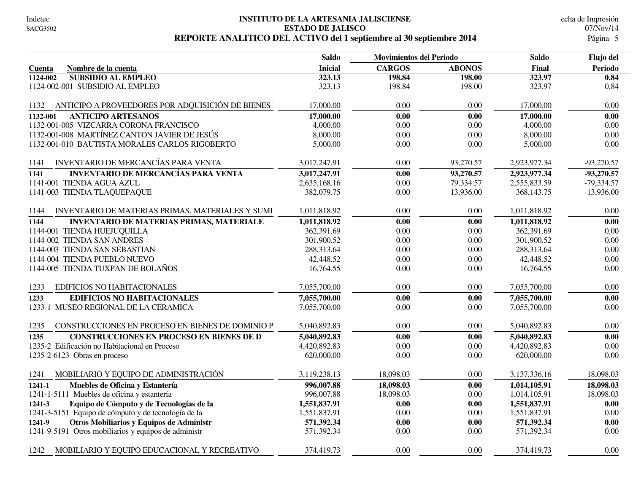#### **INSTITUTO DE LA ARTESANIA JALISCIENSE** Indetec Fecha de Impresión **ESTADO DE JALISCO** 07/Nov/14 REPORTE ANALITICO DEL ACTIVO del 1 septiembre al 30 septiembre 2014

|                                                          | <b>Saldo</b>   | <b>Movimientos del Periodo</b> |               | <b>Saldo</b> | Flujo del    |
|----------------------------------------------------------|----------------|--------------------------------|---------------|--------------|--------------|
| Nombre de la cuenta<br>Cuenta                            | <b>Inicial</b> | <b>CARGOS</b>                  | <b>ABONOS</b> | Final        | Periodo      |
| <b>SUBSIDIO AL EMPLEO</b><br>1124-002                    | 323.13         | 198.84                         | 198.00        | 323.97       | 0.84         |
| 1124-002-001 SUBSIDIO AL EMPLEO                          | 323.13         | 198.84                         | 198.00        | 323.97       | 0.84         |
| ANTICIPO A PROVEEDORES POR ADQUISICIÓN DE BIENES<br>1132 | 17,000.00      | 0.00                           | 0.00          | 17,000.00    | 0.00         |
| <b>ANTICIPO ARTESANOS</b><br>1132-001                    | 17,000.00      | 0.00                           | 0.00          | 17,000.00    | 0.00         |
| 1132-001-005 VIZCARRA CORONA FRANCISCO                   | 4,000.00       | 0.00                           | 0.00          | 4,000.00     | 0.00         |
| 1132-001-008 MARTÍNEZ CANTON JAVIER DE JESÚS             | 8,000.00       | 0.00                           | 0.00          | 8,000.00     | 0.00         |
| 1132-001-010 BAUTISTA MORALES CARLOS RIGOBERTO           | 5,000.00       | 0.00                           | 0.00          | 5,000.00     | 0.00         |
| INVENTARIO DE MERCANCÍAS PARA VENTA<br>1141              | 3,017,247.91   | 0.00                           | 93,270.57     | 2,923,977.34 | $-93,270.57$ |
| <b>INVENTARIO DE MERCANCÍAS PARA VENTA</b><br>1141       | 3,017,247.91   | 0.00                           | 93,270.57     | 2,923,977.34 | $-93,270.57$ |
| 1141-001 TIENDA AGUA AZUL                                | 2,635,168.16   | 0.00                           | 79,334.57     | 2,555,833.59 | $-79,334.57$ |
| 1141-003 TIENDA TLAQUEPAQUE                              | 382,079.75     | 0.00                           | 13,936.00     | 368, 143. 75 | $-13,936.00$ |
| INVENTARIO DE MATERIAS PRIMAS, MATERIALES Y SUMI<br>1144 | 1,011,818.92   | 0.00                           | 0.00          | 1,011,818.92 | 0.00         |
| <b>INVENTARIO DE MATERIAS PRIMAS, MATERIALE</b><br>1144  | 1,011,818.92   | 0.00                           | 0.00          | 1,011,818.92 | 0.00         |
| 1144-001 TIENDA HUEJUQUILLA                              | 362,391.69     | 0.00                           | 0.00          | 362,391.69   | 0.00         |
| 1144-002 TIENDA SAN ANDRES                               | 301,900.52     | 0.00                           | 0.00          | 301,900.52   | $0.00\,$     |
| 1144-003 TIENDA SAN SEBASTIAN                            | 288,313.64     | 0.00                           | 0.00          | 288,313.64   | 0.00         |
| 1144-004 TIENDA PUEBLO NUEVO                             | 42,448.52      | 0.00                           | 0.00          | 42,448.52    | 0.00         |
| 1144-005 TIENDA TUXPAN DE BOLAÑOS                        | 16,764.55      | 0.00                           | 0.00          | 16,764.55    | 0.00         |
| EDIFICIOS NO HABITACIONALES<br>1233                      | 7,055,700.00   | 0.00                           | 0.00          | 7,055,700.00 | 0.00         |
| <b>EDIFICIOS NO HABITACIONALES</b><br>1233               | 7,055,700.00   | 0.00                           | 0.00          | 7,055,700.00 | 0.00         |
| 1233-1 MUSEO REGIONAL DE LA CERAMICA                     | 7,055,700.00   | 0.00                           | 0.00          | 7,055,700.00 | $0.00\,$     |
| CONSTRUCCIONES EN PROCESO EN BIENES DE DOMINIO P<br>1235 | 5,040,892.83   | 0.00                           | 0.00          | 5,040,892.83 | 0.00         |
| 1235<br><b>CONSTRUCCIONES EN PROCESO EN BIENES DE D</b>  | 5,040,892.83   | 0.00                           | 0.00          | 5,040,892.83 | 0.00         |
| 1235-2 Edificación no Habitacional en Proceso            | 4,420,892.83   | 0.00                           | 0.00          | 4,420,892.83 | 0.00         |
| 1235-2-6123 Obras en proceso                             | 620,000.00     | 0.00                           | 0.00          | 620,000.00   | $0.00\,$     |
| MOBILIARIO Y EQUIPO DE ADMINISTRACIÓN<br>1241            | 3,119,238.13   | 18,098.03                      | 0.00          | 3,137,336.16 | 18,098.03    |
| Muebles de Oficina y Estantería<br>$1241 - 1$            | 996,007.88     | 18,098.03                      | 0.00          | 1,014,105.91 | 18,098.03    |
| 1241-1-5111 Muebles de oficina y estantería              | 996,007.88     | 18,098.03                      | 0.00          | 1,014,105.91 | 18,098.03    |
| Equipo de Cómputo y de Tecnologías de la<br>1241-3       | 1,551,837.91   | 0.00                           | 0.00          | 1,551,837.91 | 0.00         |
| 1241-3-5151 Equipo de cómputo y de tecnología de la      | 1,551,837.91   | 0.00                           | 0.00          | 1,551,837.91 | 0.00         |
| Otros Mobiliarios y Equipos de Administr<br>1241-9       | 571,392.34     | 0.00                           | 0.00          | 571,392.34   | 0.00         |
| 1241-9-5191 Otros mobiliarios y equipos de administr     | 571,392.34     | 0.00                           | 0.00          | 571,392.34   | 0.00         |
| MOBILIARIO Y EQUIPO EDUCACIONAL Y RECREATIVO<br>1242     | 374,419.73     | 0.00                           | 0.00          | 374,419.73   | 0.00         |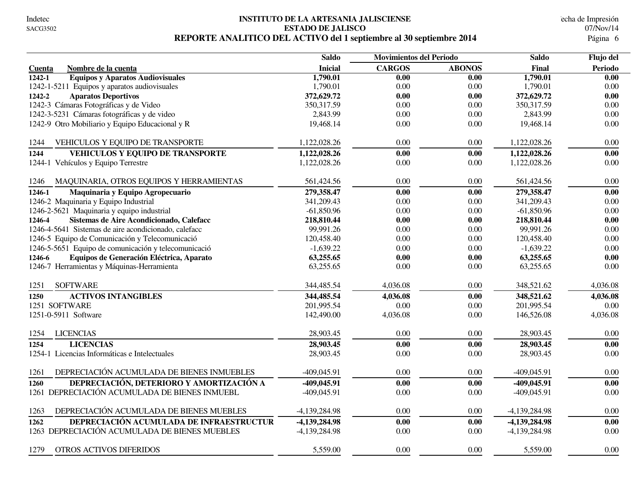#### **INSTITUTO DE LA ARTESANIA JALISCIENSE** Indetec Fecha de Impresión **ESTADO DE JALISCO** 07/Nov/14 REPORTE ANALITICO DEL ACTIVO del 1 septiembre al 30 septiembre 2014

|                                                      | <b>Saldo</b>   | <b>Movimientos del Periodo</b> |               | <b>Saldo</b>    |                |
|------------------------------------------------------|----------------|--------------------------------|---------------|-----------------|----------------|
| Nombre de la cuenta<br>Cuenta                        | <b>Inicial</b> | <b>CARGOS</b>                  | <b>ABONOS</b> | Final           | <b>Periodo</b> |
| <b>Equipos y Aparatos Audiovisuales</b><br>1242-1    | 1,790.01       | 0.00                           | 0.00          | 1,790.01        | 0.00           |
| 1242-1-5211 Equipos y aparatos audiovisuales         | 1,790.01       | 0.00                           | 0.00          | 1,790.01        | 0.00           |
| 1242-2<br><b>Aparatos Deportivos</b>                 | 372,629.72     | 0.00                           | 0.00          | 372,629.72      | 0.00           |
| 1242-3 Cámaras Fotográficas y de Video               | 350, 317.59    | 0.00                           | 0.00          | 350, 317.59     | 0.00           |
| 1242-3-5231 Cámaras fotográficas y de video          | 2,843.99       | 0.00                           | 0.00          | 2,843.99        | 0.00           |
| 1242-9 Otro Mobiliario y Equipo Educacional y R      | 19,468.14      | 0.00                           | 0.00          | 19,468.14       | 0.00           |
| 1244<br>VEHICULOS Y EQUIPO DE TRANSPORTE             | 1,122,028.26   | 0.00                           | 0.00          | 1,122,028.26    | 0.00           |
| <b>VEHICULOS Y EQUIPO DE TRANSPORTE</b><br>1244      | 1,122,028.26   | 0.00                           | 0.00          | 1,122,028.26    | 0.00           |
| 1244-1 Vehículos y Equipo Terrestre                  | 1,122,028.26   | $0.00\,$                       | 0.00          | 1,122,028.26    | $0.00\,$       |
| MAQUINARIA, OTROS EQUIPOS Y HERRAMIENTAS<br>1246     | 561,424.56     | 0.00                           | 0.00          | 561,424.56      | 0.00           |
| 1246-1<br>Maquinaria y Equipo Agropecuario           | 279,358.47     | 0.00                           | 0.00          | 279,358.47      | 0.00           |
| 1246-2 Maquinaria y Equipo Industrial                | 341,209.43     | 0.00                           | 0.00          | 341,209.43      | $0.00\,$       |
| 1246-2-5621 Maquinaria y equipo industrial           | $-61,850.96$   | 0.00                           | 0.00          | $-61,850.96$    | 0.00           |
| Sistemas de Aire Acondicionado, Calefacc<br>1246-4   | 218,810.44     | 0.00                           | 0.00          | 218,810.44      | 0.00           |
| 1246-4-5641 Sistemas de aire acondicionado, calefacc | 99,991.26      | 0.00                           | 0.00          | 99,991.26       | 0.00           |
| 1246-5 Equipo de Comunicación y Telecomunicació      | 120,458.40     | 0.00                           | 0.00          | 120,458.40      | 0.00           |
| 1246-5-5651 Equipo de comunicación y telecomunicació | $-1,639.22$    | 0.00                           | 0.00          | $-1,639.22$     | 0.00           |
| Equipos de Generación Eléctrica, Aparato<br>1246-6   | 63,255.65      | 0.00                           | 0.00          | 63,255.65       | 0.00           |
| 1246-7 Herramientas y Máquinas-Herramienta           | 63,255.65      | 0.00                           | 0.00          | 63,255.65       | 0.00           |
| <b>SOFTWARE</b><br>1251                              | 344,485.54     | 4,036.08                       | 0.00          | 348,521.62      | 4,036.08       |
| <b>ACTIVOS INTANGIBLES</b><br>1250                   | 344,485.54     | 4,036.08                       | 0.00          | 348,521.62      | 4,036.08       |
| 1251 SOFTWARE                                        | 201,995.54     | 0.00                           | 0.00          | 201,995.54      | 0.00           |
| 1251-0-5911 Software                                 | 142,490.00     | 4,036.08                       | 0.00          | 146,526.08      | 4,036.08       |
| <b>LICENCIAS</b><br>1254                             | 28,903.45      | 0.00                           | 0.00          | 28,903.45       | 0.00           |
| <b>LICENCIAS</b><br>1254                             | 28,903.45      | 0.00                           | 0.00          | 28,903.45       | 0.00           |
| 1254-1 Licencias Informáticas e Intelectuales        | 28,903.45      | 0.00                           | 0.00          | 28,903.45       | $0.00\,$       |
| DEPRECIACIÓN ACUMULADA DE BIENES INMUEBLES<br>1261   | $-409,045.91$  | 0.00                           | 0.00          | $-409,045.91$   | 0.00           |
| DEPRECIACIÓN, DETERIORO Y AMORTIZACIÓN A<br>1260     | -409,045.91    | 0.00                           | 0.00          | -409,045.91     | 0.00           |
| 1261 DEPRECIACIÓN ACUMULADA DE BIENES INMUEBL        | $-409,045.91$  | 0.00                           | 0.00          | $-409,045.91$   | 0.00           |
| DEPRECIACIÓN ACUMULADA DE BIENES MUEBLES<br>1263     | -4,139,284.98  | 0.00                           | 0.00          | $-4,139,284.98$ | 0.00           |
| DEPRECIACIÓN ACUMULADA DE INFRAESTRUCTUR<br>1262     | -4,139,284.98  | 0.00                           | 0.00          | -4,139,284.98   | 0.00           |
| 1263 DEPRECIACIÓN ACUMULADA DE BIENES MUEBLES        | -4,139,284.98  | 0.00                           | 0.00          | -4,139,284.98   | 0.00           |
| 1279<br><b>OTROS ACTIVOS DIFERIDOS</b>               | 5,559.00       | 0.00                           | 0.00          | 5,559.00        | 0.00           |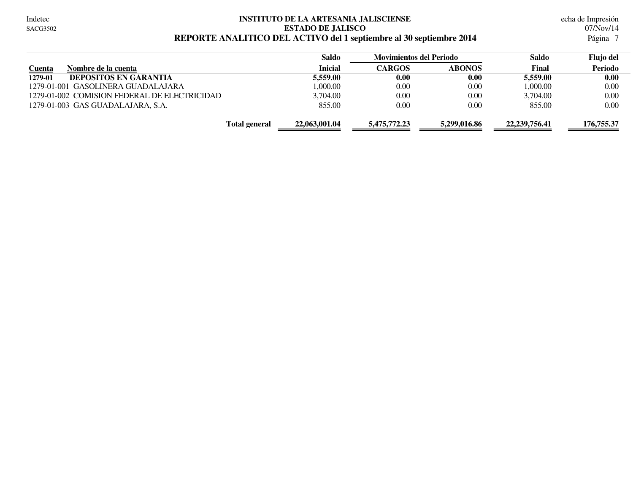#### **INSTITUTO DE LA ARTESANIA JALISCIENSE** Indetec Fecha de Impresión **ESTADO DE JALISCO** 07/Nov/14 **REPORTE ANALITICO DEL ACTIVO del 1 septiembre al 30 septiembre 2014** 7

|                                              | Saldo          | <b>Movimientos del Periodo</b> |               | Saldo            | Flujo del  |
|----------------------------------------------|----------------|--------------------------------|---------------|------------------|------------|
| Nombre de la cuenta<br><u>Cuenta</u>         | <b>Inicial</b> | <b>CARGOS</b>                  | <b>ABONOS</b> | Final            | Periodo    |
| <b>DEPOSITOS EN GARANTIA</b><br>1279-01      | 5,559.00       | 0.00                           | 0.00          | 5,559,00         | 0.00       |
| 1279-01-001 GASOLINERA GUADALAJARA           | 1.000.00       | 0.00                           | 0.00          | 1.000.00         | 0.00       |
| 1279-01-002 COMISION FEDERAL DE ELECTRICIDAD | 3.704.00       | 0.00                           | 0.00          | 3.704.00         | 0.00       |
| 1279-01-003 GAS GUADALAJARA, S.A.            | 855.00         | 0.00                           | 0.00          | 855.00           | 0.00       |
| <b>Total general</b>                         | 22,063,001.04  | 5,475,772.23                   | 5,299,016.86  | 22, 239, 756, 41 | 176,755.37 |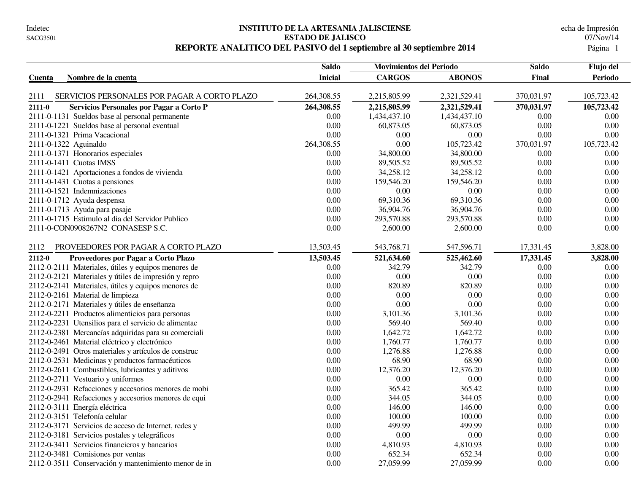#### **INSTITUTO DE LA ARTESANIA JALISCIENSE** echa de Impresión **ESTADO DE JALISCO** 07/Nov/14 REPORTE ANALITICO DEL PASIVO del 1 septiembre al 30 septiembre 2014

|                                                        | <b>Saldo</b>   | <b>Movimientos del Periodo</b> |               | <b>Saldo</b> | Flujo del  |
|--------------------------------------------------------|----------------|--------------------------------|---------------|--------------|------------|
| Nombre de la cuenta<br>Cuenta                          | <b>Inicial</b> | <b>CARGOS</b>                  | <b>ABONOS</b> | Final        | Periodo    |
|                                                        |                |                                |               |              |            |
| SERVICIOS PERSONALES POR PAGAR A CORTO PLAZO<br>2111   | 264,308.55     | 2,215,805.99                   | 2,321,529.41  | 370,031.97   | 105,723.42 |
| $2111 - 0$<br>Servicios Personales por Pagar a Corto P | 264,308.55     | 2,215,805.99                   | 2,321,529.41  | 370,031.97   | 105,723.42 |
| 2111-0-1131 Sueldos base al personal permanente        | 0.00           | 1,434,437.10                   | 1,434,437.10  | 0.00         | 0.00       |
| 2111-0-1221 Sueldos base al personal eventual          | 0.00           | 60,873.05                      | 60,873.05     | 0.00         | 0.00       |
| 2111-0-1321 Prima Vacacional                           | 0.00           | 0.00                           | $0.00\,$      | 0.00         | 0.00       |
| 2111-0-1322 Aguinaldo                                  | 264,308.55     | 0.00                           | 105,723.42    | 370,031.97   | 105,723.42 |
| 2111-0-1371 Honorarios especiales                      | 0.00           | 34,800.00                      | 34,800.00     | 0.00         | 0.00       |
| 2111-0-1411 Cuotas IMSS                                | 0.00           | 89,505.52                      | 89,505.52     | 0.00         | 0.00       |
| 2111-0-1421 Aportaciones a fondos de vivienda          | 0.00           | 34,258.12                      | 34,258.12     | 0.00         | 0.00       |
| 2111-0-1431 Cuotas a pensiones                         | 0.00           | 159,546.20                     | 159,546.20    | 0.00         | 0.00       |
| 2111-0-1521 Indemnizaciones                            | 0.00           | 0.00                           | 0.00          | 0.00         | 0.00       |
| 2111-0-1712 Ayuda despensa                             | 0.00           | 69,310.36                      | 69,310.36     | 0.00         | 0.00       |
| 2111-0-1713 Ayuda para pasaje                          | 0.00           | 36,904.76                      | 36,904.76     | 0.00         | 0.00       |
| 2111-0-1715 Estimulo al dia del Servidor Publico       | 0.00           | 293,570.88                     | 293,570.88    | 0.00         | 0.00       |
| 2111-0-CON0908267N2 CONASESP S.C.                      | 0.00           | 2,600.00                       | 2,600.00      | 0.00         | 0.00       |
| PROVEEDORES POR PAGAR A CORTO PLAZO<br>2112            | 13,503.45      | 543,768.71                     | 547,596.71    | 17,331.45    | 3,828.00   |
| 2112-0<br>Proveedores por Pagar a Corto Plazo          | 13,503.45      | 521,634.60                     | 525,462.60    | 17,331.45    | 3,828.00   |
| 2112-0-2111 Materiales, útiles y equipos menores de    | 0.00           | 342.79                         | 342.79        | 0.00         | 0.00       |
| 2112-0-2121 Materiales y útiles de impresión y repro   | 0.00           | 0.00                           | 0.00          | 0.00         | 0.00       |
| 2112-0-2141 Materiales, útiles y equipos menores de    | 0.00           | 820.89                         | 820.89        | 0.00         | 0.00       |
| 2112-0-2161 Material de limpieza                       | 0.00           | 0.00                           | 0.00          | 0.00         | 0.00       |
| 2112-0-2171 Materiales y útiles de enseñanza           | 0.00           | 0.00                           | 0.00          | 0.00         | 0.00       |
| 2112-0-2211 Productos alimenticios para personas       | 0.00           | 3,101.36                       | 3,101.36      | 0.00         | 0.00       |
| 2112-0-2231 Utensilios para el servicio de alimentac   | 0.00           | 569.40                         | 569.40        | 0.00         | 0.00       |
| 2112-0-2381 Mercancías adquiridas para su comerciali   | 0.00           | 1,642.72                       | 1,642.72      | 0.00         | 0.00       |
| 2112-0-2461 Material eléctrico y electrónico           | 0.00           | 1,760.77                       | 1,760.77      | 0.00         | 0.00       |
| 2112-0-2491 Otros materiales y artículos de construc   | 0.00           | 1,276.88                       | 1,276.88      | 0.00         | 0.00       |
| 2112-0-2531 Medicinas y productos farmacéuticos        | 0.00           | 68.90                          | 68.90         | 0.00         | 0.00       |
| 2112-0-2611 Combustibles, lubricantes y aditivos       | 0.00           | 12,376.20                      | 12,376.20     | 0.00         | 0.00       |
| 2112-0-2711 Vestuario y uniformes                      | 0.00           | 0.00                           | 0.00          | 0.00         | 0.00       |
| 2112-0-2931 Refacciones y accesorios menores de mobi   | 0.00           | 365.42                         | 365.42        | 0.00         | 0.00       |
| 2112-0-2941 Refacciones y accesorios menores de equi   | 0.00           | 344.05                         | 344.05        | 0.00         | 0.00       |
| 2112-0-3111 Energía eléctrica                          | 0.00           | 146.00                         | 146.00        | 0.00         | 0.00       |
| 2112-0-3151 Telefonía celular                          | 0.00           | 100.00                         | 100.00        | 0.00         | 0.00       |
| 2112-0-3171 Servicios de acceso de Internet, redes y   | 0.00           | 499.99                         | 499.99        | 0.00         | 0.00       |
| 2112-0-3181 Servicios postales y telegráficos          | 0.00           | 0.00                           | 0.00          | 0.00         | 0.00       |
| 2112-0-3411 Servicios financieros y bancarios          | 0.00           | 4,810.93                       | 4,810.93      | 0.00         | 0.00       |
| 2112-0-3481 Comisiones por ventas                      | 0.00           | 652.34                         | 652.34        | 0.00         | 0.00       |
| 2112-0-3511 Conservación y mantenimiento menor de in   | 0.00           | 27,059.99                      | 27,059.99     | 0.00         | 0.00       |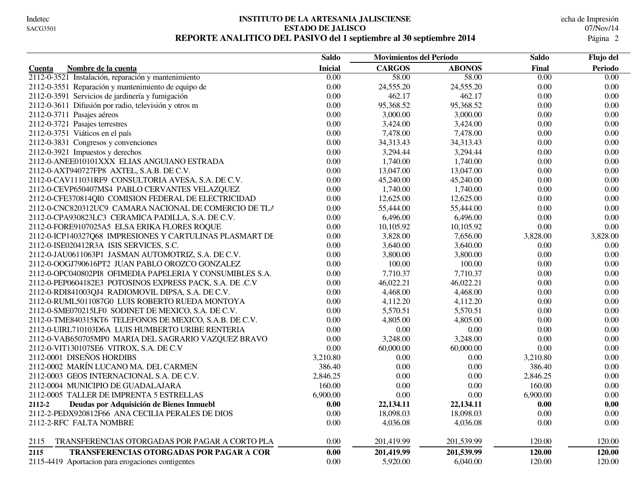#### **INSTITUTO DE LA ARTESANIA JALISCIENSE** echa de Impresión **ESTADO DE JALISCO** 07/Nov/14 **REPORTE ANALITICO DEL PASIVO del 1 septiembre al 30 septiembre 2014** 2

|                                                           | <b>Saldo</b>      | <b>Movimientos del Periodo</b> |               | <b>Saldo</b> | Flujo del |
|-----------------------------------------------------------|-------------------|--------------------------------|---------------|--------------|-----------|
| Nombre de la cuenta<br>Cuenta                             | <b>Inicial</b>    | <b>CARGOS</b>                  | <b>ABONOS</b> | Final        | Periodo   |
| 2112-0-3521 Instalación, reparación y mantenimiento       | $\overline{0.00}$ | 58.00                          | 58.00         | 0.00         | 0.00      |
| 2112-0-3551 Reparación y mantenimiento de equipo de       | 0.00              | 24,555.20                      | 24,555.20     | 0.00         | 0.00      |
| 2112-0-3591 Servicios de jardinería y fumigación          | 0.00              | 462.17                         | 462.17        | 0.00         | 0.00      |
| 2112-0-3611 Difusión por radio, televisión y otros m      | 0.00              | 95,368.52                      | 95,368.52     | 0.00         | 0.00      |
| 2112-0-3711 Pasajes aéreos                                | $0.00\,$          | 3,000.00                       | 3,000.00      | 0.00         | 0.00      |
| 2112-0-3721 Pasajes terrestres                            | $0.00\,$          | 3,424.00                       | 3,424.00      | 0.00         | 0.00      |
| 2112-0-3751 Viáticos en el país                           | 0.00              | 7,478.00                       | 7,478.00      | 0.00         | 0.00      |
| 2112-0-3831 Congresos y convenciones                      | 0.00              | 34,313.43                      | 34,313.43     | 0.00         | 0.00      |
| 2112-0-3921 Impuestos y derechos                          | 0.00              | 3,294.44                       | 3,294.44      | 0.00         | 0.00      |
| 2112-0-ANEE010101XXX ELIAS ANGUIANO ESTRADA               | $0.00\,$          | 1,740.00                       | 1,740.00      | 0.00         | 0.00      |
| 2112-0-AXT940727FP8 AXTEL, S.A.B. DE C.V.                 | $0.00\,$          | 13,047.00                      | 13,047.00     | 0.00         | 0.00      |
| 2112-0-CAV111031RF9 CONSULTORIA AVESA, S.A. DE C.V.       | $0.00\,$          | 45,240.00                      | 45,240.00     | 0.00         | 0.00      |
| 2112-0-CEVP650407MS4 PABLO CERVANTES VELAZQUEZ            | $0.00\,$          | 1,740.00                       | 1,740.00      | 0.00         | 0.00      |
| 2112-0-CFE370814QI0 COMISION FEDERAL DE ELECTRICIDAD      | $0.00\,$          | 12,625.00                      | 12,625.00     | 0.00         | 0.00      |
| 2112-0-CNC820312UC9 CAMARA NACIONAL DE COMERCIO DE TLA    | $0.00\,$          | 55,444.00                      | 55,444.00     | 0.00         | 0.00      |
| 2112-0-CPA930823LC3 CERAMICA PADILLA, S.A. DE C.V.        | $0.00\,$          | 6,496.00                       | 6,496.00      | 0.00         | 0.00      |
| 2112-0-FORE9107025A5 ELSA ERIKA FLORES ROQUE              | $0.00\,$          | 10,105.92                      | 10,105.92     | 0.00         | 0.00      |
| 2112-0-ICP140327Q68 IMPRESIONES Y CARTULINAS PLASMART DE  | 0.00              | 3,828.00                       | 7,656.00      | 3,828.00     | 3,828.00  |
| 2112-0-ISE020412R3A ISIS SERVICES, S.C.                   | 0.00              | 3,640.00                       | 3,640.00      | 0.00         | 0.00      |
| 2112-0-JAU0611063P1 JASMAN AUTOMOTRIZ, S.A. DE C.V.       | $0.00\,$          | 3,800.00                       | 3,800.00      | 0.00         | 0.00      |
| 2112-0-OOGJ790616PT2 JUAN PABLO OROZCO GONZALEZ           | $0.00\,$          | 100.00                         | 100.00        | 0.00         | 0.00      |
| 2112-0-OPC040802PI8 OFIMEDIA PAPELERIA Y CONSUMIBLES S.A. | $0.00\,$          | 7,710.37                       | 7,710.37      | 0.00         | 0.00      |
| 2112-0-PEP0604182E3 POTOSINOS EXPRESS PACK, S.A. DE .C.V  | 0.00              | 46,022.21                      | 46,022.21     | 0.00         | 0.00      |
| 2112-0-RDI841003QJ4 RADIOMOVIL DIPSA, S.A. DE C.V.        | 0.00              | 4,468.00                       | 4,468.00      | 0.00         | 0.00      |
| 2112-0-RUML5011087G0 LUIS ROBERTO RUEDA MONTOYA           | 0.00              | 4,112.20                       | 4,112.20      | 0.00         | 0.00      |
| 2112-0-SME070215LF0 SODINET DE MEXICO, S.A. DE C.V.       | 0.00              | 5,570.51                       | 5,570.51      | 0.00         | 0.00      |
| 2112-0-TME840315KT6 TELEFONOS DE MEXICO, S.A.B. DE C.V.   | 0.00              | 4,805.00                       | 4,805.00      | 0.00         | 0.00      |
| 2112-0-UIRL710103D6A LUIS HUMBERTO URIBE RENTERIA         | 0.00              | 0.00                           | 0.00          | 0.00         | 0.00      |
| 2112-0-VAB650705MP0 MARIA DEL SAGRARIO VAZQUEZ BRAVO      | 0.00              | 3,248.00                       | 3,248.00      | 0.00         | 0.00      |
| 2112-0-VIT130107SE6 VITROX, S.A. DE C.V                   | 0.00              | 60,000.00                      | 60,000.00     | 0.00         | 0.00      |
| 2112-0001 DISEÑOS HORDIBS                                 | 3,210.80          | 0.00                           | 0.00          | 3,210.80     | 0.00      |
| 2112-0002 MARÍN LUCANO MA. DEL CARMEN                     | 386.40            | 0.00                           | 0.00          | 386.40       | 0.00      |
| 2112-0003 GEOS INTERNACIONAL S.A. DE C.V.                 | 2,846.25          | 0.00                           | 0.00          | 2,846.25     | 0.00      |
| 2112-0004 MUNICIPIO DE GUADALAJARA                        | 160.00            | 0.00                           | 0.00          | 160.00       | 0.00      |
| 2112-0005 TALLER DE IMPRENTA 5 ESTRELLAS                  | 6,900.00          | 0.00                           | 0.00          | 6,900.00     | 0.00      |
| 2112-2<br>Deudas por Adquisición de Bienes Inmuebl        | 0.00              | 22,134.11                      | 22,134.11     | 0.00         | 0.00      |
| 2112-2-PEDX920812F66 ANA CECILIA PERALES DE DIOS          | 0.00              | 18,098.03                      | 18,098.03     | 0.00         | 0.00      |
| 2112-2-RFC FALTA NOMBRE                                   | 0.00              | 4,036.08                       | 4,036.08      | 0.00         | 0.00      |
| TRANSFERENCIAS OTORGADAS POR PAGAR A CORTO PLA<br>2115    | 0.00              | 201,419.99                     | 201,539.99    | 120.00       | 120.00    |
| TRANSFERENCIAS OTORGADAS POR PAGAR A COR<br>2115          | $0.00\,$          | 201,419.99                     | 201,539.99    | 120.00       | 120.00    |
| 2115-4419 Aportacion para erogaciones contigentes         | $0.00\,$          | 5,920.00                       | 6,040.00      | 120.00       | 120.00    |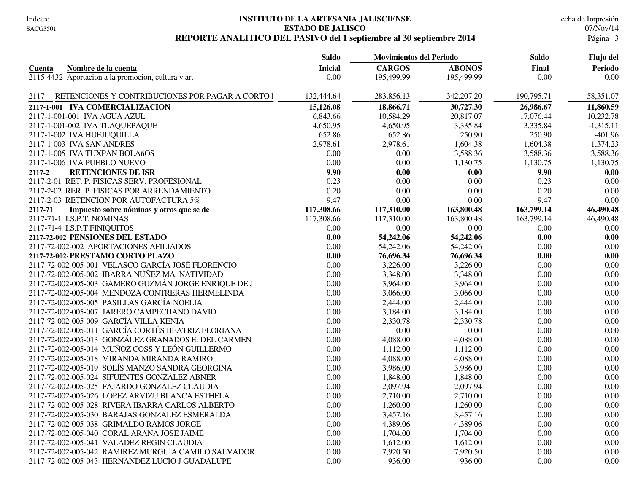#### **INSTITUTO DE LA ARTESANIA JALISCIENSE** echa de Impresión **ESTADO DE JALISCO** 07/Nov/14 REPORTE ANALITICO DEL PASIVO del 1 septiembre al 30 septiembre 2014

|                                                          | <b>Saldo</b>   |               | <b>Movimientos del Periodo</b> |            | Flujo del         |  |
|----------------------------------------------------------|----------------|---------------|--------------------------------|------------|-------------------|--|
| Nombre de la cuenta<br>Cuenta                            | <b>Inicial</b> | <b>CARGOS</b> | <b>ABONOS</b>                  | Final      | Periodo           |  |
| 2115-4432 Aportacion a la promocion, cultura y art       | 0.00           | 195,499.99    | 195,499.99                     | 0.00       | $\overline{0.00}$ |  |
| RETENCIONES Y CONTRIBUCIONES POR PAGAR A CORTO I<br>2117 | 132,444.64     | 283,856.13    | 342,207.20                     | 190,795.71 | 58,351.07         |  |
| 2117-1-001 IVA COMERCIALIZACION                          | 15,126.08      | 18,866.71     | 30,727.30                      | 26,986.67  | 11,860.59         |  |
| 2117-1-001-001 IVA AGUA AZUL                             | 6,843.66       | 10,584.29     | 20,817.07                      | 17,076.44  | 10,232.78         |  |
| 2117-1-001-002 IVA TLAQUEPAQUE                           | 4,650.95       | 4,650.95      | 3,335.84                       | 3,335.84   | $-1,315.11$       |  |
| 2117-1-002 IVA HUEJUQUILLA                               | 652.86         | 652.86        | 250.90                         | 250.90     | $-401.96$         |  |
| 2117-1-003 IVA SAN ANDRES                                | 2,978.61       | 2,978.61      | 1,604.38                       | 1,604.38   | $-1,374.23$       |  |
| 2117-1-005 IVA TUXPAN BOLAñOS                            | 0.00           | 0.00          | 3,588.36                       | 3,588.36   | 3,588.36          |  |
| 2117-1-006 IVA PUEBLO NUEVO                              | 0.00           | 0.00          | 1,130.75                       | 1,130.75   | 1,130.75          |  |
| <b>RETENCIONES DE ISR</b><br>2117-2                      | 9.90           | 0.00          | 0.00                           | 9.90       | 0.00              |  |
| 2117-2-01 RET. P. FISICAS SERV. PROFESIONAL              | 0.23           | 0.00          | 0.00                           | 0.23       | 0.00              |  |
| 2117-2-02 RER. P. FISICAS POR ARRENDAMIENTO              | 0.20           | 0.00          | 0.00                           | 0.20       | 0.00              |  |
| 2117-2-03 RETENCION POR AUTOFACTURA 5%                   | 9.47           | 0.00          | 0.00                           | 9.47       | 0.00              |  |
| 2117-71<br>Impuesto sobre nóminas y otros que se de      | 117,308.66     | 117,310.00    | 163,800.48                     | 163,799.14 | 46,490.48         |  |
| 2117-71-1 I.S.P.T. NOMINAS                               | 117,308.66     | 117,310.00    | 163,800.48                     | 163,799.14 | 46,490.48         |  |
| 2117-71-4 I.S.P.T FINIQUITOS                             | $0.00\,$       | 0.00          | 0.00                           | 0.00       | 0.00              |  |
| 2117-72-002 PENSIONES DEL ESTADO                         | 0.00           | 54,242.06     | 54,242.06                      | 0.00       | 0.00              |  |
| 2117-72-002-002 APORTACIONES AFILIADOS                   | 0.00           | 54,242.06     | 54,242.06                      | 0.00       | 0.00              |  |
| 2117-72-002 PRESTAMO CORTO PLAZO                         | 0.00           | 76,696.34     | 76,696.34                      | 0.00       | 0.00              |  |
| 2117-72-002-005-001 VELASCO GARCÍA JOSÉ FLORENCIO        | $0.00\,$       | 3,226.00      | 3,226.00                       | 0.00       | 0.00              |  |
| 2117-72-002-005-002 IBARRA NÚÑEZ MA. NATIVIDAD           | 0.00           | 3,348.00      | 3,348.00                       | 0.00       | 0.00              |  |
| 2117-72-002-005-003 GAMERO GUZMÁN JORGE ENRIQUE DE J     | 0.00           | 3,964.00      | 3,964.00                       | 0.00       | 0.00              |  |
| 2117-72-002-005-004 MENDOZA CONTRERAS HERMELINDA         | 0.00           | 3,066.00      | 3,066.00                       | 0.00       | 0.00              |  |
| 2117-72-002-005-005 PASILLAS GARCÍA NOELIA               | 0.00           | 2,444.00      | 2,444.00                       | 0.00       | 0.00              |  |
| 2117-72-002-005-007 JARERO CAMPECHANO DAVID              | $0.00\,$       | 3,184.00      | 3,184.00                       | 0.00       | $0.00\,$          |  |
| 2117-72-002-005-009 GARCÍA VILLA KENIA                   | 0.00           | 2,330.78      | 2,330.78                       | 0.00       | 0.00              |  |
| 2117-72-002-005-011 GARCÍA CORTÉS BEATRIZ FLORIANA       | 0.00           | 0.00          | 0.00                           | 0.00       | 0.00              |  |
| 2117-72-002-005-013 GONZÁLEZ GRANADOS E. DEL CARMEN      | $0.00\,$       | 4,088.00      | 4,088.00                       | 0.00       | 0.00              |  |
| 2117-72-002-005-014 MUÑOZ COSS Y LEÓN GUILLERMO          | 0.00           | 1,112.00      | 1,112.00                       | 0.00       | 0.00              |  |
| 2117-72-002-005-018 MIRANDA MIRANDA RAMIRO               | 0.00           | 4,088.00      | 4,088.00                       | 0.00       | 0.00              |  |
| 2117-72-002-005-019 SOLÍS MANZO SANDRA GEORGINA          | 0.00           | 3,986.00      | 3,986.00                       | 0.00       | 0.00              |  |
| 2117-72-002-005-024 SIFUENTES GONZÁLEZ ABNER             | $0.00\,$       | 1,848.00      | 1,848.00                       | 0.00       | 0.00              |  |
| 2117-72-002-005-025 FAJARDO GONZALEZ CLAUDIA             | 0.00           | 2,097.94      | 2,097.94                       | 0.00       | 0.00              |  |
| 2117-72-002-005-026 LOPEZ ARVIZU BLANCA ESTHELA          | 0.00           | 2,710.00      | 2,710.00                       | 0.00       | 0.00              |  |
| 2117-72-002-005-028 RIVERA IBARRA CARLOS ALBERTO         | $0.00\,$       | 1,260.00      | 1,260.00                       | 0.00       | 0.00              |  |
| 2117-72-002-005-030 BARAJAS GONZALEZ ESMERALDA           | 0.00           | 3,457.16      | 3,457.16                       | 0.00       | 0.00              |  |
| 2117-72-002-005-038 GRIMALDO RAMOS JORGE                 | $0.00\,$       | 4,389.06      | 4,389.06                       | $0.00\,$   | $0.00\,$          |  |
| 2117-72-002-005-040 CORAL ARANA JOSE JAIME               | 0.00           | 1,704.00      | 1,704.00                       | 0.00       | 0.00              |  |
| 2117-72-002-005-041 VALADEZ REGIN CLAUDIA                | 0.00           | 1,612.00      | 1,612.00                       | 0.00       | 0.00              |  |
| 2117-72-002-005-042 RAMIREZ MURGUIA CAMILO SALVADOR      | 0.00           | 7,920.50      | 7,920.50                       | 0.00       | 0.00              |  |
| 2117-72-002-005-043 HERNANDEZ LUCIO J GUADALUPE          | 0.00           | 936.00        | 936.00                         | 0.00       | 0.00              |  |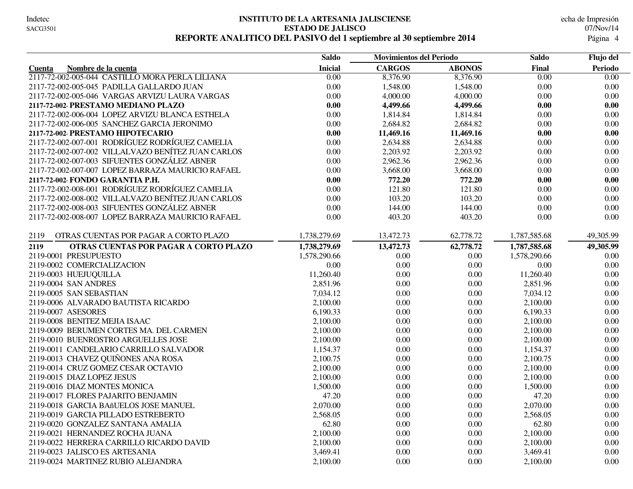#### **INSTITUTO DE LA ARTESANIA JALISCIENSE** echa de Impresión **ESTADO DE JALISCO** 07/Nov/14 **REPORTE ANALITICO DEL PASIVO del 1 septiembre al 30 septiembre 2014** 4

|                                                    | <b>Saldo</b>      | <b>Movimientos del Periodo</b> |               | Saldo             | Flujo del         |
|----------------------------------------------------|-------------------|--------------------------------|---------------|-------------------|-------------------|
| Nombre de la cuenta<br>Cuenta                      | <b>Inicial</b>    | <b>CARGOS</b>                  | <b>ABONOS</b> | Final             | <b>Periodo</b>    |
| 2117-72-002-005-044 CASTILLO MORA PERLA LILIANA    | $\overline{0.00}$ | 8,376.90                       | 8,376.90      | $\overline{0.00}$ | $\overline{0.00}$ |
| 2117-72-002-005-045 PADILLA GALLARDO JUAN          | 0.00              | 1,548.00                       | 1,548.00      | 0.00              | 0.00              |
| 2117-72-002-005-046 VARGAS ARVIZU LAURA VARGAS     | 0.00              | 4,000.00                       | 4,000.00      | 0.00              | 0.00              |
| 2117-72-002 PRESTAMO MEDIANO PLAZO                 | 0.00              | 4,499.66                       | 4,499.66      | 0.00              | 0.00              |
| 2117-72-002-006-004 LOPEZ ARVIZU BLANCA ESTHELA    | 0.00              | 1,814.84                       | 1,814.84      | 0.00              | 0.00              |
| 2117-72-002-006-005 SANCHEZ GARCIA JERONIMO        | 0.00              | 2,684.82                       | 2,684.82      | 0.00              | $0.00\,$          |
| 2117-72-002 PRESTAMO HIPOTECARIO                   | 0.00              | 11,469.16                      | 11,469.16     | 0.00              | 0.00              |
| 2117-72-002-007-001 RODRÍGUEZ RODRÍGUEZ CAMELIA    | 0.00              | 2,634.88                       | 2,634.88      | 0.00              | 0.00              |
| 2117-72-002-007-002 VILLALVAZO BENÍTEZ JUAN CARLOS | 0.00              | 2,203.92                       | 2,203.92      | 0.00              | 0.00              |
| 2117-72-002-007-003 SIFUENTES GONZÁLEZ ABNER       | 0.00              | 2,962.36                       | 2,962.36      | 0.00              | 0.00              |
| 2117-72-002-007-007 LOPEZ BARRAZA MAURICIO RAFAEL  | $0.00\,$          | 3,668.00                       | 3,668.00      | 0.00              | $0.00\,$          |
| 2117-72-002 FONDO GARANTIA P.H.                    | 0.00              | 772.20                         | 772.20        | 0.00              | 0.00              |
| 2117-72-002-008-001 RODRÍGUEZ RODRÍGUEZ CAMELIA    | 0.00              | 121.80                         | 121.80        | 0.00              | 0.00              |
| 2117-72-002-008-002 VILLALVAZO BENÍTEZ JUAN CARLOS | 0.00              | 103.20                         | 103.20        | 0.00              | 0.00              |
| 2117-72-002-008-003 SIFUENTES GONZÁLEZ ABNER       | 0.00              | 144.00                         | 144.00        | 0.00              | 0.00              |
| 2117-72-002-008-007 LOPEZ BARRAZA MAURICIO RAFAEL  | 0.00              | 403.20                         | 403.20        | 0.00              | 0.00              |
|                                                    |                   |                                |               |                   |                   |
| 2119<br>OTRAS CUENTAS POR PAGAR A CORTO PLAZO      | 1,738,279.69      | 13,472.73                      | 62,778.72     | 1,787,585.68      | 49,305.99         |
| 2119<br>OTRAS CUENTAS POR PAGAR A CORTO PLAZO      | 1,738,279.69      | 13,472.73                      | 62,778.72     | 1,787,585.68      | 49,305.99         |
| 2119-0001 PRESUPUESTO                              | 1,578,290.66      | 0.00                           | 0.00          | 1,578,290.66      | 0.00              |
| 2119-0002 COMERCIALIZACION                         | 0.00              | 0.00                           | 0.00          | $0.00\,$          | $0.00\,$          |
| 2119-0003 HUEJUQUILLA                              | 11,260.40         | 0.00                           | 0.00          | 11,260.40         | 0.00              |
| 2119-0004 SAN ANDRES                               | 2,851.96          | $0.00\,$                       | 0.00          | 2,851.96          | $0.00\,$          |
| 2119-0005 SAN SEBASTIAN                            | 7,034.12          | 0.00                           | 0.00          | 7,034.12          | 0.00              |
| 2119-0006 ALVARADO BAUTISTA RICARDO                | 2,100.00          | 0.00                           | 0.00          | 2,100.00          | $0.00\,$          |
| 2119-0007 ASESORES                                 | 6,190.33          | 0.00                           | 0.00          | 6,190.33          | 0.00              |
| 2119-0008 BENITEZ MEJIA ISAAC                      | 2,100.00          | 0.00                           | 0.00          | 2,100.00          | 0.00              |
| 2119-0009 BERUMEN CORTES MA. DEL CARMEN            | 2,100.00          | 0.00                           | 0.00          | 2,100.00          | $0.00\,$          |
| 2119-0010 BUENROSTRO ARGUELLES JOSE                | 2,100.00          | 0.00                           | 0.00          | 2,100.00          | 0.00              |
| 2119-0011 CANDELARIO CARRILLO SALVADOR             | 1,154.37          | 0.00                           | 0.00          | 1,154.37          | $0.00\,$          |
| 2119-0013 CHAVEZ QUIÑONES ANA ROSA                 | 2,100.75          | 0.00                           | 0.00          | 2,100.75          | $0.00\,$          |
| 2119-0014 CRUZ GOMEZ CESAR OCTAVIO                 | 2,100.00          | 0.00                           | 0.00          | 2,100.00          | $0.00\,$          |
| 2119-0015 DIAZ LOPEZ JESUS                         | 2,100.00          | 0.00                           | 0.00          | 2,100.00          | $0.00\,$          |
| 2119-0016 DIAZ MONTES MONICA                       | 1,500.00          | 0.00                           | 0.00          | 1,500.00          | $0.00\,$          |
| 2119-0017 FLORES PAJARITO BENJAMIN                 | 47.20             | 0.00                           | 0.00          | 47.20             | 0.00              |
| 2119-0018 GARCIA BAñUELOS JOSE MANUEL              | 2,070.00          | 0.00                           | 0.00          | 2,070.00          | 0.00              |
| 2119-0019 GARCIA PILLADO ESTREBERTO                | 2,568.05          | 0.00                           | 0.00          | 2,568.05          | 0.00              |
| 2119-0020 GONZALEZ SANTANA AMALIA                  | 62.80             | 0.00                           | 0.00          | 62.80             | 0.00              |
| 2119-0021 HERNANDEZ ROCHA JUANA                    | 2,100.00          | 0.00                           | 0.00          | 2,100.00          | 0.00              |
| 2119-0022 HERRERA CARRILLO RICARDO DAVID           | 2,100.00          | 0.00                           | 0.00          | 2,100.00          | 0.00              |
| 2119-0023 JALISCO ES ARTESANIA                     | 3,469.41          | 0.00                           | 0.00          | 3,469.41          | $0.00\,$          |
| 2119-0024 MARTINEZ RUBIO ALEJANDRA                 | 2,100.00          | 0.00                           | 0.00          | 2,100.00          | 0.00              |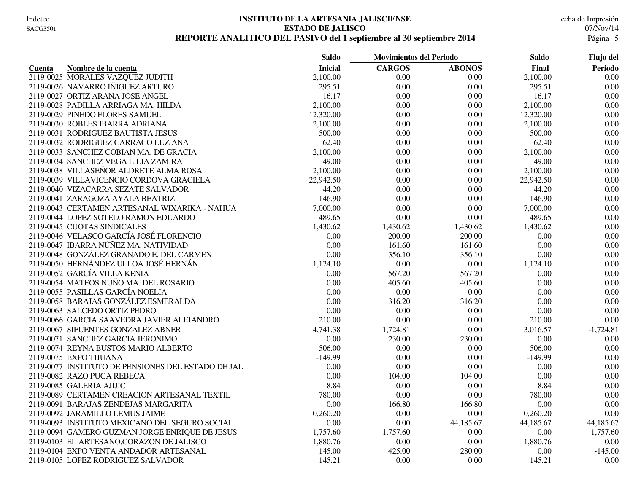#### **INSTITUTO DE LA ARTESANIA JALISCIENSE** echa de Impresión **ESTADO DE JALISCO** 07/Nov/14 REPORTE ANALITICO DEL PASIVO del 1 septiembre al 30 septiembre 2014

|                                                    | <b>Saldo</b>   | <b>Movimientos del Periodo</b> |                   | <b>Saldo</b> | Flujo del         |
|----------------------------------------------------|----------------|--------------------------------|-------------------|--------------|-------------------|
| Nombre de la cuenta<br><b>Cuenta</b>               | <b>Inicial</b> | <b>CARGOS</b>                  | <b>ABONOS</b>     | Final        | <b>Periodo</b>    |
| 2119-0025 MORALES VAZQUEZ JUDITH                   | 2,100.00       | $\overline{0.00}$              | $\overline{0.00}$ | 2,100.00     | $\overline{0.00}$ |
| 2119-0026 NAVARRO IÑIGUEZ ARTURO                   | 295.51         | 0.00                           | 0.00              | 295.51       | $0.00\,$          |
| 2119-0027 ORTIZ ARANA JOSE ANGEL                   | 16.17          | 0.00                           | 0.00              | 16.17        | $0.00\,$          |
| 2119-0028 PADILLA ARRIAGA MA. HILDA                | 2,100.00       | 0.00                           | 0.00              | 2,100.00     | 0.00              |
| 2119-0029 PINEDO FLORES SAMUEL                     | 12,320.00      | 0.00                           | 0.00              | 12,320.00    | $0.00\,$          |
| 2119-0030 ROBLES IBARRA ADRIANA                    | 2,100.00       | 0.00                           | 0.00              | 2,100.00     | $0.00\,$          |
| 2119-0031 RODRIGUEZ BAUTISTA JESUS                 | 500.00         | 0.00                           | 0.00              | 500.00       | 0.00              |
| 2119-0032 RODRIGUEZ CARRACO LUZ ANA                | 62.40          | 0.00                           | 0.00              | 62.40        | 0.00              |
| 2119-0033 SANCHEZ COBIAN MA. DE GRACIA             | 2,100.00       | 0.00                           | 0.00              | 2,100.00     | 0.00              |
| 2119-0034 SANCHEZ VEGA LILIA ZAMIRA                | 49.00          | 0.00                           | 0.00              | 49.00        | 0.00              |
| 2119-0038 VILLASEÑOR ALDRETE ALMA ROSA             | 2,100.00       | 0.00                           | 0.00              | 2,100.00     | $0.00\,$          |
| 2119-0039 VILLAVICENCIO CORDOVA GRACIELA           | 22,942.50      | 0.00                           | 0.00              | 22,942.50    | $0.00\,$          |
| 2119-0040 VIZACARRA SEZATE SALVADOR                | 44.20          | 0.00                           | 0.00              | 44.20        | $0.00\,$          |
| 2119-0041 ZARAGOZA AYALA BEATRIZ                   | 146.90         | 0.00                           | 0.00              | 146.90       | 0.00              |
| 2119-0043 CERTAMEN ARTESANAL WIXARIKA - NAHUA      | 7,000.00       | 0.00                           | 0.00              | 7,000.00     | $0.00\,$          |
| 2119-0044 LOPEZ SOTELO RAMON EDUARDO               | 489.65         | 0.00                           | $0.00\,$          | 489.65       | $0.00\,$          |
| 2119-0045 CUOTAS SINDICALES                        | 1,430.62       | 1,430.62                       | 1,430.62          | 1,430.62     | 0.00              |
| 2119-0046 VELASCO GARCÍA JOSÉ FLORENCIO            | 0.00           | 200.00                         | 200.00            | 0.00         | 0.00              |
| 2119-0047 IBARRA NÚÑEZ MA. NATIVIDAD               | 0.00           | 161.60                         | 161.60            | 0.00         | $0.00\,$          |
| 2119-0048 GONZÁLEZ GRANADO E. DEL CARMEN           | 0.00           | 356.10                         | 356.10            | 0.00         | $0.00\,$          |
| 2119-0050 HERNÁNDEZ ULLOA JOSÉ HERNÁN              | 1,124.10       | 0.00                           | 0.00              | 1,124.10     | 0.00              |
| 2119-0052 GARCÍA VILLA KENIA                       | 0.00           | 567.20                         | 567.20            | 0.00         | 0.00              |
| 2119-0054 MATEOS NUÑO MA. DEL ROSARIO              | 0.00           | 405.60                         | 405.60            | 0.00         | $0.00\,$          |
| 2119-0055 PASILLAS GARCÍA NOELIA                   | 0.00           | 0.00                           | 0.00              | 0.00         | 0.00              |
| 2119-0058 BARAJAS GONZÁLEZ ESMERALDA               | 0.00           | 316.20                         | 316.20            | 0.00         | 0.00              |
| 2119-0063 SALCEDO ORTIZ PEDRO                      | 0.00           | 0.00                           | 0.00              | 0.00         | $0.00\,$          |
| 2119-0066 GARCIA SAAVEDRA JAVIER ALEJANDRO         | 210.00         | 0.00                           | 0.00              | 210.00       | 0.00              |
| 2119-0067 SIFUENTES GONZALEZ ABNER                 | 4,741.38       | 1,724.81                       | 0.00              | 3,016.57     | $-1,724.81$       |
| 2119-0071 SANCHEZ GARCIA JERONIMO                  | 0.00           | 230.00                         | 230.00            | 0.00         | 0.00              |
| 2119-0074 REYNA BUSTOS MARIO ALBERTO               | 506.00         | 0.00                           | 0.00              | 506.00       | 0.00              |
| 2119-0075 EXPO TIJUANA                             | $-149.99$      | 0.00                           | 0.00              | $-149.99$    | 0.00              |
| 2119-0077 INSTITUTO DE PENSIONES DEL ESTADO DE JAL | 0.00           | 0.00                           | 0.00              | 0.00         | 0.00              |
| 2119-0082 RAZO PUGA REBECA                         | 0.00           | 104.00                         | 104.00            | 0.00         | $0.00\,$          |
| 2119-0085 GALERIA AJIJIC                           | 8.84           | 0.00                           | 0.00              | 8.84         | 0.00              |
| 2119-0089 CERTAMEN CREACION ARTESANAL TEXTIL       | 780.00         | 0.00                           | 0.00              | 780.00       | 0.00              |
| 2119-0091 BARAJAS ZENDEJAS MARGARITA               | 0.00           | 166.80                         | 166.80            | 0.00         | $0.00\,$          |
| 2119-0092 JARAMILLO LEMUS JAIME                    | 10,260.20      | 0.00                           | 0.00              | 10,260.20    | 0.00              |
| 2119-0093 INSTITUTO MEXICANO DEL SEGURO SOCIAL     | 0.00           | 0.00                           | 44,185.67         | 44,185.67    | 44,185.67         |
| 2119-0094 GAMERO GUZMAN JORGE ENRIQUE DE JESUS     | 1,757.60       | 1,757.60                       | 0.00              | 0.00         | $-1,757.60$       |
| 2119-0103 EL ARTESANO, CORAZON DE JALISCO          | 1,880.76       | 0.00                           | 0.00              | 1,880.76     | 0.00              |
| 2119-0104 EXPO VENTA ANDADOR ARTESANAL             | 145.00         | 425.00                         | 280.00            | 0.00         | $-145.00$         |
| 2119-0105 LOPEZ RODRIGUEZ SALVADOR                 | 145.21         | 0.00                           | 0.00              | 145.21       | 0.00              |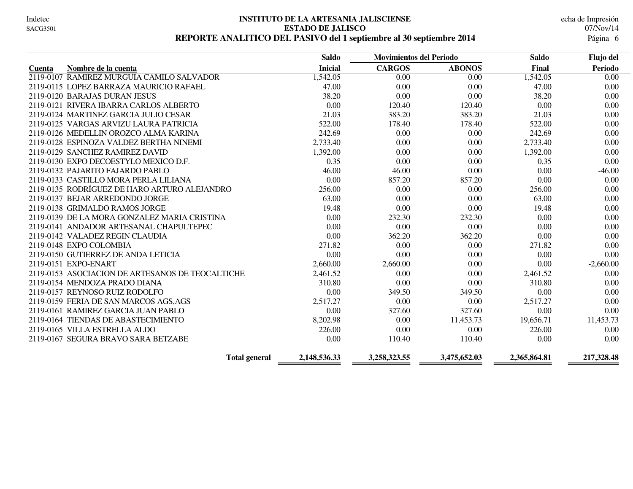#### **INSTITUTO DE LA ARTESANIA JALISCIENSE** echa de Impresión **ESTADO DE JALISCO** 07/Nov/14 **REPORTE ANALITICO DEL PASIVO del 1 septiembre al 30 septiembre 2014** 6

|                                                  | <b>Saldo</b>   | <b>Movimientos del Periodo</b> |               | <b>Saldo</b> | Flujo del   |
|--------------------------------------------------|----------------|--------------------------------|---------------|--------------|-------------|
| Nombre de la cuenta<br><b>Cuenta</b>             | <b>Inicial</b> | <b>CARGOS</b>                  | <b>ABONOS</b> | Final        | Periodo     |
| 2119-0107 RAMIREZ MURGUIA CAMILO SALVADOR        | 1,542.05       | 0.00                           | 0.00          | 1,542.05     | 0.00        |
| 2119-0115 LOPEZ BARRAZA MAURICIO RAFAEL          | 47.00          | 0.00                           | 0.00          | 47.00        | 0.00        |
| 2119-0120 BARAJAS DURAN JESUS                    | 38.20          | 0.00                           | 0.00          | 38.20        | 0.00        |
| 2119-0121 RIVERA IBARRA CARLOS ALBERTO           | 0.00           | 120.40                         | 120.40        | 0.00         | 0.00        |
| 2119-0124 MARTINEZ GARCIA JULIO CESAR            | 21.03          | 383.20                         | 383.20        | 21.03        | 0.00        |
| 2119-0125 VARGAS ARVIZU LAURA PATRICIA           | 522.00         | 178.40                         | 178.40        | 522.00       | 0.00        |
| 2119-0126 MEDELLIN OROZCO ALMA KARINA            | 242.69         | 0.00                           | 0.00          | 242.69       | 0.00        |
| 2119-0128 ESPINOZA VALDEZ BERTHA NINEMI          | 2,733.40       | 0.00                           | 0.00          | 2,733.40     | 0.00        |
| 2119-0129 SANCHEZ RAMIREZ DAVID                  | 1,392.00       | 0.00                           | 0.00          | 1,392.00     | 0.00        |
| 2119-0130 EXPO DECOESTYLO MEXICO D.F.            | 0.35           | 0.00                           | 0.00          | 0.35         | 0.00        |
| 2119-0132 PAJARITO FAJARDO PABLO                 | 46.00          | 46.00                          | 0.00          | 0.00         | $-46.00$    |
| 2119-0133 CASTILLO MORA PERLA LILIANA            | 0.00           | 857.20                         | 857.20        | 0.00         | 0.00        |
| 2119-0135 RODRÍGUEZ DE HARO ARTURO ALEJANDRO     | 256.00         | 0.00                           | 0.00          | 256.00       | 0.00        |
| 2119-0137 BEJAR ARREDONDO JORGE                  | 63.00          | 0.00                           | 0.00          | 63.00        | 0.00        |
| 2119-0138 GRIMALDO RAMOS JORGE                   | 19.48          | 0.00                           | 0.00          | 19.48        | 0.00        |
| 2119-0139 DE LA MORA GONZALEZ MARIA CRISTINA     | 0.00           | 232.30                         | 232.30        | 0.00         | 0.00        |
| 2119-0141 ANDADOR ARTESANAL CHAPULTEPEC          | 0.00           | 0.00                           | 0.00          | 0.00         | 0.00        |
| 2119-0142 VALADEZ REGIN CLAUDIA                  | 0.00           | 362.20                         | 362.20        | 0.00         | 0.00        |
| 2119-0148 EXPO COLOMBIA                          | 271.82         | 0.00                           | 0.00          | 271.82       | 0.00        |
| 2119-0150 GUTIERREZ DE ANDA LETICIA              | 0.00           | 0.00                           | 0.00          | 0.00         | 0.00        |
| 2119-0151 EXPO-ENART                             | 2,660.00       | 2,660.00                       | 0.00          | 0.00         | $-2,660.00$ |
| 2119-0153 ASOCIACION DE ARTESANOS DE TEOCALTICHE | 2,461.52       | 0.00                           | 0.00          | 2,461.52     | 0.00        |
| 2119-0154 MENDOZA PRADO DIANA                    | 310.80         | 0.00                           | 0.00          | 310.80       | 0.00        |
| 2119-0157 REYNOSO RUIZ RODOLFO                   | 0.00           | 349.50                         | 349.50        | 0.00         | 0.00        |
| 2119-0159 FERIA DE SAN MARCOS AGS, AGS           | 2,517.27       | 0.00                           | 0.00          | 2,517.27     | 0.00        |
| 2119-0161 RAMIREZ GARCIA JUAN PABLO              | 0.00           | 327.60                         | 327.60        | 0.00         | 0.00        |
| 2119-0164 TIENDAS DE ABASTECIMIENTO              | 8,202.98       | 0.00                           | 11,453.73     | 19,656.71    | 11,453.73   |
| 2119-0165 VILLA ESTRELLA ALDO                    | 226.00         | 0.00                           | 0.00          | 226.00       | 0.00        |
| 2119-0167 SEGURA BRAVO SARA BETZABE              | 0.00           | 110.40                         | 110.40        | 0.00         | 0.00        |
| <b>Total general</b>                             | 2,148,536.33   | 3,258,323.55                   | 3,475,652.03  | 2,365,864.81 | 217,328.48  |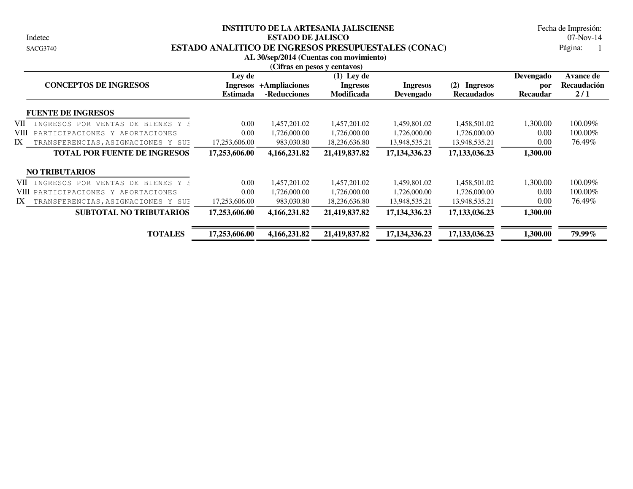Indetec

#### **INSTITUTO DE LA ARTESANIA JALISCIENSE ESTADO DE JALISCO** 07-Nov-14 SACG3740 **ESTADO ANALITICO DE INGRESOS PRESUPUESTALES (CONAC)**

Página: 1 Fecha de Impresión:

| AL 30/sep/2014 (Cuentas con movimiento)<br>(Cifras en pesos y centavos) |                                       |                               |                                                      |                              |                                             |                                     |                                        |  |  |  |  |
|-------------------------------------------------------------------------|---------------------------------------|-------------------------------|------------------------------------------------------|------------------------------|---------------------------------------------|-------------------------------------|----------------------------------------|--|--|--|--|
| <b>CONCEPTOS DE INGRESOS</b>                                            | Ley de<br>Ingresos<br><b>Estimada</b> | +Ampliaciones<br>-Reducciones | $(1)$ Ley de<br><b>Ingresos</b><br><b>Modificada</b> | <b>Ingresos</b><br>Devengado | (2)<br><b>Ingresos</b><br><b>Recaudados</b> | Devengado<br>por<br><b>Recaudar</b> | <b>Avance de</b><br>Recaudación<br>2/1 |  |  |  |  |
| <b>FUENTE DE INGRESOS</b>                                               |                                       |                               |                                                      |                              |                                             |                                     |                                        |  |  |  |  |
| VII-<br>INGRESOS POR<br>VENTAS<br>DE.<br>BIENES Y S                     | 0.00                                  | 1,457,201.02                  | 1,457,201.02                                         | 1,459,801.02                 | 1,458,501.02                                | 1,300.00                            | 100.09%                                |  |  |  |  |
| VIII<br>PARTICIPACIONES Y APORTACIONES                                  | 0.00                                  | 1,726,000.00                  | 1,726,000.00                                         | 1,726,000.00                 | 1,726,000.00                                | 0.00                                | 100.00%                                |  |  |  |  |
| IX<br>TRANSFERENCIAS, ASIGNACIONES Y SUE                                | 17,253,606.00                         | 983,030.80                    | 18,236,636.80                                        | 13,948,535.21                | 13,948,535.21                               | 0.00                                | 76.49%                                 |  |  |  |  |
| <b>TOTAL POR FUENTE DE INGRESOS</b>                                     | 17,253,606.00                         | 4,166,231.82                  | 21,419,837.82                                        | 17, 134, 336. 23             | 17, 133, 036. 23                            | 1,300.00                            |                                        |  |  |  |  |
| <b>NO TRIBUTARIOS</b>                                                   |                                       |                               |                                                      |                              |                                             |                                     |                                        |  |  |  |  |
| VII INGRESOS POR<br>VENTAS DE BIENES Y S                                | 0.00                                  | 1,457,201.02                  | 1,457,201.02                                         | 1,459,801.02                 | 1,458,501.02                                | 1,300.00                            | 100.09%                                |  |  |  |  |
| VIII PARTICIPACIONES Y APORTACIONES                                     | 0.00                                  | 1,726,000.00                  | 1,726,000.00                                         | 1,726,000.00                 | 1,726,000.00                                | 0.00                                | 100.00%                                |  |  |  |  |
| IX<br>TRANSFERENCIAS, ASIGNACIONES Y SUP                                | 17,253,606.00                         | 983,030.80                    | 18,236,636.80                                        | 13,948,535.21                | 13,948,535.21                               | 0.00                                | 76.49%                                 |  |  |  |  |
| <b>SUBTOTAL NO TRIBUTARIOS</b>                                          | 17,253,606.00                         | 4,166,231.82                  | 21,419,837.82                                        | 17, 134, 336. 23             | 17, 133, 036. 23                            | 1,300.00                            |                                        |  |  |  |  |
| <b>TOTALES</b>                                                          | 17,253,606.00                         | 4,166,231.82                  | 21,419,837.82                                        | 17, 134, 336. 23             | 17,133,036.23                               | 1,300.00                            | 79.99%                                 |  |  |  |  |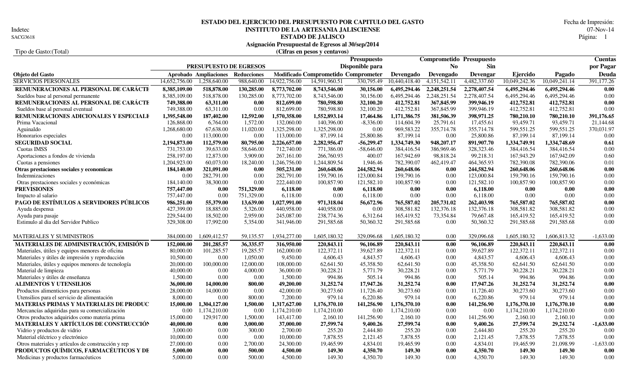Indetec<br>SACG3618

# **INSTITUTO DE LA ARTESANIA JALISCIENSE** 07-Nov-14<br>**ESTADO DE JALISCO** Página: 1 **ESTADO DEL EJERCICIO DEL PRESUPUESTO POR CAPITULO DEL GASTO** Fecha de Impresión:

**ESTADO DE JALISCO** Página: 1

| Asignación Presupuestal de Egresos al 30/sep/2014 |  |  |
|---------------------------------------------------|--|--|
|                                                   |  |  |

### Tipo de Gasto:(Total) **(Cifras en pesos y centavos)**

|                                                    |               |                        |                    |               |                                     | <b>Presupuesto</b> |               |                | <b>Comprometido Presupuesto</b> |               |               | <b>Cuentas</b> |
|----------------------------------------------------|---------------|------------------------|--------------------|---------------|-------------------------------------|--------------------|---------------|----------------|---------------------------------|---------------|---------------|----------------|
|                                                    |               | PRESUPUESTO DE EGRESOS |                    |               |                                     | Disponible para    |               | N <sub>0</sub> | <b>Sin</b>                      |               |               | por Pagar      |
| Objeto del Gasto                                   |               | Aprobado Ampliaciones  | <b>Reducciones</b> |               | Modificado Comprometido Comprometer |                    | Devengado     | Devengado      | Devengar                        | Ejercido      | Pagado        | Deuda          |
| <b>SERVICIOS PERSONALES</b>                        | 14,652,756.00 | 1,258,640.00           | 988,640.00         | 14,922,756.00 | 14,591,960.51                       | 330,795.49         | 10,440,418.40 | 4,151,542.11   | 4,482,337.60                    | 10,049,242.36 | 10,049,241.14 | 391,177.26     |
| REMUNERACIONES AL PERSONAL DE CARÁCTE              | 8,385,109.00  | 518,878.00             | 130,285.00         | 8,773,702.00  | 8,743,546.00                        | 30,156.00          | 6,495,294.46  | 2,248,251.54   | 2,278,407.54                    | 6,495,294.46  | 6,495,294.46  | 0.00           |
| Sueldos base al personal permanente                | 8,385,109.00  | 518,878.00             | 130,285.00         | 8,773,702.00  | 8,743,546.00                        | 30,156.00          | 6,495,294.46  | 2,248,251.54   | 2,278,407.54                    | 6,495,294.46  | 6,495,294.46  | 0.00           |
| REMUNERACIONES AL PERSONAL DE CARÁCTE              | 749,388.00    | 63,311.00              | 0.00               | 812,699.00    | 780,598.80                          | 32,100.20          | 412,752.81    | 367,845.99     | 399,946.19                      | 412,752.81    | 412,752.81    | 0.00           |
| Sueldos base al personal eventual                  | 749,388.00    | 63,311.00              | 0.00               | 812,699.00    | 780,598.80                          | 32,100.20          | 412,752.81    | 367,845.99     | 399,946.19                      | 412,752.81    | 412,752.81    | 0.00           |
| REMUNERACIONES ADICIONALES Y ESPECIALE             | 1,395,548.00  | 187,402.00             | 12,592.00          | 1,570,358.00  | 1,552,893.14                        | 17,464.86          | 1,171,386.75  | 381,506.39     | 398,971.25                      | 780,210.10    | 780,210.10    | 391,176.65     |
| Prima Vacacional                                   | 126,868.00    | 6,764.00               | 1,572.00           | 132,060.00    | 140,396.00                          | $-8,336.00$        | 114,604.39    | 25,791.61      | 17,455.61                       | 93,459.71     | 93,459.71     | 21,144.68      |
| Aguinaldo                                          | 1,268,680.00  | 67,638.00              | 11,020.00          | 1,325,298.00  | 1,325,298.00                        | 0.00               | 969,583.22    | 355,714.78     | 355,714.78                      | 599,551.25    | 599,551.25    | 370,031.97     |
| Honorarios especiales                              | 0.00          | 113,000.00             | 0.00               | 113,000.00    | 87,199.14                           | 25,800.86          | 87,199.14     | 0.00           | 25,800.86                       | 87,199.14     | 87,199.14     | 0.00           |
| <b>SEGURIDAD SOCIAL</b>                            | 2,194,873.00  | 112,579.00             | 80,795.00          | 2,226,657.00  | 2,282,956.47                        | $-56,299.47$       | 1,334,749.30  | 948,207.17     | 891,907.70                      | 1,334,749.91  | 1,334,748.69  | 0.61           |
| Cuotas IMSS                                        | 731,753.00    | 39,633.00              | 58,646.00          | 712,740.00    | 771,386.00                          | $-58,646.00$       | 384,416.54    | 386,969.46     | 328,323.46                      | 384,416.54    | 384,416.54    | 0.00           |
| Aportaciones a fondos de vivienda                  | 258,197.00    | 12,873.00              | 3,909.00           | 267,161.00    | 266,760.93                          | 400.07             | 167,942.69    | 98,818.24      | 99,218.31                       | 167,943.29    | 167,942.09    | 0.60           |
| Cuotas a pensiones                                 | 1,204,923.00  | 60,073.00              | 18,240.00          | 1,246,756.00  | 1,244,809.54                        | 1,946.46           | 782,390.07    | 462,419.47     | 464,365.93                      | 782,390.08    | 782,390.06    | 0.01           |
| Otras prestaciones sociales y economicas           | 184,140.00    | 321,091.00             | 0.00               | 505,231.00    | 260,648.06                          | 244,582.94         | 260,648.06    | 0.00           | 244,582.94                      | 260,648.06    | 260,648.06    | 0.00           |
| Indemnizaciones                                    | 0.00          | 282,791.00             | 0.00               | 282,791.00    | 159,790.16                          | 123,000.84         | 159,790.16    | 0.00           | 123,000.84                      | 159,790.16    | 159,790.16    | 0.00           |
| Otras prestaciones sociales y económicas           | 184,140.00    | 38,300.00              | 0.00               | 222,440.00    | 100,857.90                          | 121,582.10         | 100,857.90    | 0.00           | 121,582.10                      | 100,857.90    | 100,857.90    | 0.00           |
| <b>PREVISIONES</b>                                 | 757,447.00    | 0.00                   | 751,329.00         | 6,118.00      | 0.00                                | 6.118.00           | 0.00          | 0.00           | 6.118.00                        | 0.00          | 0.00          | $0.00\,$       |
| Impacto al salario                                 | 757,447.00    | 0.00                   | 751,329.00         | 6,118.00      | 0.00                                | 6.118.00           | 0.00          | 0.00           | 6,118.00                        | 0.00          | 0.00          | 0.00           |
| PAGO DE ESTÍMULOS A SERVIDORES PÚBLICOS            | 986,251.00    | 55,379.00              | 13,639.00          | 1,027,991.00  | 971,318.04                          | 56,672.96          | 765,587.02    | 205,731.02     | 262,403.98                      | 765,587.02    | 765,587.02    | 0.00           |
| Ayuda despensa                                     | 427,399.00    | 18,885.00              | 5,326.00           | 440,958.00    | 440,958.00                          | 0.00               | 308,581.82    | 132,376.18     | 132,376.18                      | 308,581.82    | 308,581.82    | 0.00           |
| Ayuda para pasaje                                  | 229,544.00    | 18,502.00              | 2,959.00           | 245,087.00    | 238,774.36                          | 6,312.64           | 165,419.52    | 73,354.84      | 79,667.48                       | 165,419.52    | 165,419.52    | 0.00           |
| Estimulo al dia del Servidor Publico               | 329,308.00    | 17,992.00              | 5,354.00           | 341,946.00    | 291,585.68                          | 50,360.32          | 291,585.68    | 0.00           | 50.360.32                       | 291,585.68    | 291,585.68    | 0.00           |
|                                                    |               |                        |                    |               |                                     |                    |               |                |                                 |               |               |                |
| MATERIALES Y SUMINISTROS                           | 384,000.00    | 1,609,412.57           | 59,135.57          | 1,934,277.00  | 1,605,180.32                        | 329,096.68         | 1,605,180.32  | 0.00           | 329,096.68                      | 1,605,180.32  | ,606,813.32   | $-1,633.00$    |
| MATERIALES DE ADMINISTRACIÓN, EMISIÓN D            | 152,000.00    | 201,285.57             | 36,335.57          | 316,950.00    | 220,843.11                          | 96.106.89          | 220,843.11    | 0.00           | 96,106.89                       | 220,843.11    | 220,843.11    | 0.00           |
| Materiales, útiles y equipos menores de oficina    | 80,000.00     | 101,285.57             | 19,285.57          | 162,000.00    | 122,372.11                          | 39,627.89          | 122,372.11    | 0.00           | 39.627.89                       | 122,372.11    | 122,372.11    | 0.00           |
| Materiales y útiles de impresión y reproducción    | 10,500.00     | 0.00                   | 1,050.00           | 9,450.00      | 4,606.43                            | 4,843.57           | 4,606.43      | 0.00           | 4,843.57                        | 4,606.43      | 4,606.43      | 0.00           |
| Materiales, útiles y equipos menores de tecnología | 20,000.00     | 100,000.00             | 12,000.00          | 108,000.00    | 62,641.50                           | 45,358.50          | 62,641.50     | 0.00           | 45,358.50                       | 62,641.50     | 62,641.50     | 0.00           |
| Material de limpieza                               | 40,000.00     | 0.00                   | 4,000.00           | 36,000.00     | 30,228.21                           | 5,771.79           | 30,228.21     | 0.00           | 5,771.79                        | 30,228.21     | 30,228.21     | 0.00           |
| Materiales y útiles de enseñanza                   | 1,500.00      | 0.00                   | 0.00               | 1,500.00      | 994.86                              | 505.14             | 994.86        | 0.00           | 505.14                          | 994.86        | 994.86        | 0.00           |
| <b>ALIMENTOS Y UTENSILIOS</b>                      | 36,000.00     | 14,000.00              | 800.00             | 49,200.00     | 31,252.74                           | 17,947.26          | 31,252.74     | 0.00           | 17,947.26                       | 31,252.74     | 31,252.74     | 0.00           |
| Productos alimenticios para personas               | 28,000.00     | 14,000.00              | 0.00               | 42,000.00     | 30,273.60                           | 11,726.40          | 30,273.60     | 0.00           | 11,726.40                       | 30,273.60     | 30,273.60     | 0.00           |
| Utensilios para el servicio de alimentación        | 8,000.00      | 0.00                   | 800.00             | 7,200.00      | 979.14                              | 6,220.86           | 979.14        | 0.00           | 6,220.86                        | 979.14        | 979.14        | 0.00           |
| MATERIAS PRIMAS Y MATERIALES DE PRODUC             | 15,000.00     | 1,304,127.00           | 1,500.00           | 1,317,627.00  | 1,176,370.10                        | 141,256.90         | 1,176,370.10  | 0.00           | 141,256.90                      | 1,176,370.10  | 1,176,370.10  | 0.00           |
| Mercancías adquiridas para su comercialización     | 0.00          | 1,174,210.00           | 0.00               | 1,174,210.00  | 1,174,210.00                        | 0.00               | 1,174,210.00  | 0.00           | 0.00                            | 1,174,210.00  | 1,174,210.00  | 0.00           |
| Otros productos adquiridos como materia prima      | 15,000.00     | 129,917.00             | 1,500.00           | 143,417.00    | 2,160.10                            | 141,256.90         | 2,160.10      | 0.00           | 141,256.90                      | 2,160.10      | 2,160.10      | 0.00           |
| <b>MATERIALES Y ARTÍCULOS DE CONSTRUCCIÓN</b>      | 40,000.00     | 0.00                   | 3,000.00           | 37,000.00     | 27,599.74                           | 9,400.26           | 27,599.74     | 0.00           | 9,400.26                        | 27,599.74     | 29,232.74     | $-1,633.00$    |
| Vidrio y productos de vidrio                       | 3,000.00      | 0.00                   | 300.00             | 2,700.00      | 255.20                              | 2,444.80           | 255.20        | 0.00           | 2,444.80                        | 255.20        | 255.20        | 0.00           |
| Material eléctrico y electrónico                   | 10,000.00     | 0.00                   | 0.00               | 10,000.00     | 7,878.55                            | 2,121.45           | 7,878.55      | 0.00           | 2,121.45                        | 7,878.55      | 7,878.55      | 0.00           |
| Otros materiales y artículos de construcción y rep | 27,000.00     | 0.00                   | 2,700.00           | 24,300.00     | 19,465.99                           | 4,834.01           | 19,465.99     | 0.00           | 4,834.01                        | 19,465.99     | 21,098.99     | $-1,633.00$    |
| PRODUCTOS QUÍMICOS, FARMACÉUTICOS Y DE             | 5,000.00      | 0.00                   | 500.00             | 4,500.00      | 149.30                              | 4,350.70           | 149.30        | 0.00           | 4,350.70                        | 149.30        | 149.30        | 0.00           |
| Medicinas y productos farmacéuticos                | 5,000.00      | 0.00                   | 500.00             | 4,500.00      | 149.30                              | 4,350.70           | 149.30        | 0.00           | 4,350.70                        | 149.30        | 149.30        | 0.00           |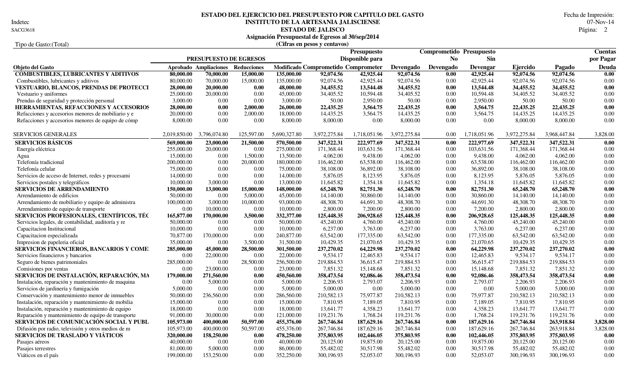Indetec

# **INSTITUTO DE LA ARTESANIA JALISCIENSE** 07-Nov-14<br>**ESTADO DE JALISCO** Página: 2 **ESTADO DEL EJERCICIO DEL PRESUPUESTO POR CAPITULO DEL GASTO** Fecha de Impresión:

**ESTADO DE JALISCO** 2 SACG3618 Página:

|                                                    |                        |                                   |            |              | Asignación Presupuestal de Egresos al 30/sep/2014 |                    |              |                              |                                 |              |              |                   |
|----------------------------------------------------|------------------------|-----------------------------------|------------|--------------|---------------------------------------------------|--------------------|--------------|------------------------------|---------------------------------|--------------|--------------|-------------------|
| Tipo de Gasto: (Total)                             |                        |                                   |            |              | (Cifras en pesos y centavos)                      |                    |              |                              |                                 |              |              |                   |
|                                                    |                        |                                   |            |              |                                                   | <b>Presupuesto</b> |              |                              | <b>Comprometido Presupuesto</b> |              |              | <b>Cuentas</b>    |
|                                                    | PRESUPUESTO DE EGRESOS |                                   |            |              | Disponible para                                   |                    |              | <b>Sin</b><br>N <sub>0</sub> |                                 |              |              | por Pagar         |
| <b>Objeto del Gasto</b>                            |                        | Aprobado Ampliaciones Reducciones |            |              | Modificado Comprometido Comprometer               |                    | Devengado    | Devengado                    | Devengar                        | Ejercido     | Pagado       | Deuda             |
| <b>COMBUSTIBLES, LUBRICANTES Y ADITIVOS</b>        | 80,000.00              | 70,000.00                         | 15,000.00  | 135,000.00   | 92,074.56                                         | 42,925.44          | 92,074.56    | 0.00                         | 42,925.44                       | 92,074.56    | 92,074.56    | $\overline{0.00}$ |
| Combustibles, lubricantes y aditivos               | 80,000.00              | 70,000.00                         | 15,000.00  | 135,000.00   | 92,074.56                                         | 42,925.44          | 92,074.56    | 0.00                         | 42,925.44                       | 92,074.56    | 92,074.56    | 0.00              |
| <b>VESTUARIO, BLANCOS, PRENDAS DE PROTECCI</b>     | 28,000.00              | 20,000.00                         | 0.00       | 48,000.00    | 34,455.52                                         | 13,544.48          | 34,455.52    | 0.00                         | 13,544.48                       | 34,455.52    | 34,455.52    | 0.00              |
| Vestuario y uniformes                              | 25,000.00              | 20,000.00                         | 0.00       | 45,000.00    | 34,405.52                                         | 10,594.48          | 34,405.52    | 0.00                         | 10.594.48                       | 34,405.52    | 34,405.52    | 0.00              |
| Prendas de seguridad y protección personal         | 3,000.00               | $0.00\,$                          | 0.00       | 3,000.00     | 50.00                                             | 2,950.00           | 50.00        | 0.00                         | 2,950.00                        | 50.00        | 50.00        | 0.00              |
| HERRAMIENTAS, REFACCIONES Y ACCESORIOS             | 28,000.00              | 0.00                              | 2,000.00   | 26,000.00    | 22,435.25                                         | 3,564.75           | 22,435.25    | 0.00                         | 3,564.75                        | 22,435.25    | 22,435.25    | 0.00              |
| Refacciones y accesorios menores de mobiliario y e | 20,000.00              | 0.00                              | 2,000.00   | 18,000.00    | 14,435.25                                         | 3,564.75           | 14,435.25    | 0.00                         | 3,564.75                        | 14,435.25    | 14,435.25    | 0.00              |
| Refacciones y accesorios menores de equipo de cómp | 8,000.00               | 0.00                              | 0.00       | 8,000.00     | 8,000.00                                          | 0.00               | 8,000.00     | 0.00                         | 0.00                            | 8,000.00     | 8,000.00     | 0.00              |
| <b>SERVICIOS GENERALES</b>                         | 2,019,850.00           | 3,796,074.80                      | 125,597.00 | 5,690,327.80 | 3,972,275.84                                      | 1,718,051.96       | 3,972,275.84 | 0.00                         | 1,718,051.96                    | 3,972,275.84 | 3,968,447.84 | 3,828.00          |
| <b>SERVICIOS BÁSICOS</b>                           | 569,000.00             | 23,000.00                         | 21,500.00  | 570,500.00   | 347,522.31                                        | 222,977.69         | 347,522.31   | 0.00                         | 222,977.69                      | 347,522.31   | 347,522.31   | 0.00              |
| Energía eléctrica                                  | 255,000.00             | 20,000.00                         | 0.00       | 275,000.00   | 171,368.44                                        | 103,631.56         | 171,368.44   | 0.00                         | 103,631.56                      | 171,368.44   | 171,368.44   | 0.00              |
| Agua                                               | 15,000.00              | 0.00                              | 1,500.00   | 13,500.00    | 4,062.00                                          | 9,438.00           | 4,062.00     | 0.00                         | 9,438.00                        | 4,062.00     | 4,062.00     | 0.00              |
| Telefonía tradicional                              | 200,000.00             | 0.00                              | 20,000.00  | 180,000.00   | 116,462.00                                        | 63,538.00          | 116,462.00   | 0.00                         | 63,538.00                       | 116,462.00   | 116,462.00   | 0.00              |
| Telefonía celular                                  | 75,000.00              | 0.00                              | 0.00       | 75,000.00    | 38,108.00                                         | 36,892.00          | 38,108.00    | 0.00                         | 36,892.00                       | 38,108.00    | 38,108.00    | 0.00              |
| Servicios de acceso de Internet, redes y procesami | 14,000.00              | 0.00                              | 0.00       | 14,000.00    | 5,876.05                                          | 8,123.95           | 5,876.05     | 0.00                         | 8,123.95                        | 5,876.05     | 5,876.05     | 0.00              |
| Servicios postales y telegráficos                  | 10,000.00              | 3,000.00                          | 0.00       | 13,000.00    | 11,645.82                                         | 1,354.18           | 11,645.82    | 0.00                         | 1,354.18                        | 11,645.82    | 11,645.82    | 0.00              |
| <b>SERVICIOS DE ARRENDAMIENTO</b>                  | 150,000.00             | 13,000.00                         | 15,000.00  | 148,000.00   | 65,248.70                                         | 82,751.30          | 65,248.70    | 0.00                         | 82,751.30                       | 65,248.70    | 65,248.70    | 0.00              |
| Arrendamiento de edificios                         | 50,000.00              | 0.00                              | 5,000.00   | 45,000.00    | 14,140.00                                         | 30,860.00          | 14,140.00    | 0.00                         | 30,860.00                       | 14,140.00    | 14,140.00    | 0.00              |
| Arrendamiento de mobiliario y equipo de administra | 100,000.00             | 3,000.00                          | 10,000.00  | 93,000.00    | 48,308.70                                         | 44,691.30          | 48,308.70    | 0.00                         | 44,691.30                       | 48,308.70    | 48,308.70    | 0.00              |
| Arrendamiento de equipo de transporte              | 0.00                   | 10,000.00                         | 0.00       | 10,000.00    | 2,800.00                                          | 7,200.00           | 2,800.00     | 0.00                         | 7,200.00                        | 2,800.00     | 2,800.00     | 0.00              |
| SERVICIOS PROFESIONALES, CIENTÍFICOS, TÉC          | 165,877.00             | 170,000.00                        | 3,500.00   | 332,377.00   | 125,448.35                                        | 206,928.65         | 125,448.35   | 0.00                         | 206,928.65                      | 125,448.35   | 125,448.35   | 0.00              |
| Servicios legales, de contabilidad, auditoría y re | 50,000.00              | $0.00\,$                          | 0.00       | 50,000.00    | 45,240.00                                         | 4,760.00           | 45,240.00    | 0.00                         | 4,760.00                        | 45,240.00    | 45,240.00    | 0.00              |
| Capacitacion Institucional                         | 10,000.00              | 0.00                              | 0.00       | 10,000.00    | 6,237.00                                          | 3,763.00           | 6,237.00     | 0.00                         | 3,763.00                        | 6,237.00     | 6,237.00     | 0.00              |
| Capacitacion especializada                         | 70,877.00              | 170,000.00                        | 0.00       | 240,877.00   | 63,542.00                                         | 177,335.00         | 63,542.00    | 0.00                         | 177,335.00                      | 63,542.00    | 63,542.00    | 0.00              |
| Impresion de papeleria oficial                     | 35,000.00              | 0.00                              | 3,500.00   | 31,500.00    | 10,429.35                                         | 21,070.65          | 10,429.35    | 0.00                         | 21,070.65                       | 10,429.35    | 10,429.35    | 0.00              |
| SERVICIOS FINANCIEROS, BANCARIOS Y COME            | 285,000.00             | 45,000.00                         | 28,500.00  | 301,500.00   | 237,270.02                                        | 64,229.98          | 237,270.02   | 0.00                         | 64,229.98                       | 237,270.02   | 237,270.02   | 0.00              |
| Servicios financieros y bancarios                  | 0.00                   | 22,000.00                         | 0.00       | 22,000.00    | 9,534.17                                          | 12,465.83          | 9,534.17     | 0.00                         | 12,465.83                       | 9,534.17     | 9,534.17     | 0.00              |
| Seguro de bienes patrimoniales                     | 285,000.00             | 0.00                              | 28,500.00  | 256,500.00   | 219,884.53                                        | 36,615.47          | 219,884.53   | 0.00                         | 36,615.47                       | 219,884.53   | 219,884.53   | 0.00              |
| Comisiones por ventas                              | 0.00                   | 23,000.00                         | 0.00       | 23,000.00    | 7,851.32                                          | 15,148.68          | 7,851.32     | 0.00                         | 15,148.68                       | 7,851.32     | 7,851.32     | 0.00              |
| SERVICIOS DE INSTALACIÓN, REPARACIÓN, MA           | 179,000.00             | 271,560.00                        | 0.00       | 450,560.00   | 358,473.54                                        | 92,086.46          | 358,473.54   | 0.00                         | 92,086.46                       | 358,473.54   | 358,473.54   | 0.00              |
| Instalación, reparación y mantenimiento de maquina | 0.00                   | 5,000.00                          | 0.00       | 5,000.00     | 2,206.93                                          | 2,793.07           | 2,206.93     | 0.00                         | 2,793.07                        | 2,206.93     | 2,206.93     | 0.00              |
| Servicios de jardinería y fumigación               | 5,000.00               | 0.00                              | 0.00       | 5,000.00     | 5,000.00                                          | 0.00               | 5,000.00     | 0.00                         | 0.00                            | 5,000.00     | 5,000.00     | 0.00              |
| Conservación y mantenimiento menor de inmuebles    | 50,000.00              | 236,560.00                        | 0.00       | 286,560.00   | 210,582.13                                        | 75,977.87          | 210,582.13   | 0.00                         | 75,977.87                       | 210,582.13   | 210,582.13   | 0.00              |
| Instalación, reparación y mantenimiento de mobilia | 15,000.00              | 0.00                              | 0.00       | 15,000.00    | 7,810.95                                          | 7,189.05           | 7,810.95     | 0.00                         | 7,189.05                        | 7,810.95     | 7,810.95     | 0.00              |
| Instalación, reparación y mantenimiento de equipo  | 18,000.00              | 0.00                              | 0.00       | 18,000.00    | 13,641.77                                         | 4,358.23           | 13,641.77    | 0.00                         | 4,358.23                        | 13,641.77    | 13,641.77    | 0.00              |
| Reparación y mantenimiento de equipo de transporte | 91,000.00              | 30,000.00                         | 0.00       | 121,000.00   | 119,231.76                                        | 1,768.24           | 119,231.76   | 0.00                         | 1,768.24                        | 119,231.76   | 119,231.76   | 0.00              |
| SERVICIOS DE COMUNICACIÓN SOCIAL Y PUBL            | 105,973.00             | 400,000.00                        | 50,597.00  | 455,376.00   | 267,746.84                                        | 187,629.16         | 267,746.84   | 0.00                         | 187,629.16                      | 267,746.84   | 263,918.84   | 3,828.00          |
| Difusión por radio, televisión y otros medios de m | 105,973.00             | 400,000.00                        | 50,597.00  | 455,376.00   | 267,746.84                                        | 187,629.16         | 267,746.84   | 0.00                         | 187,629.16                      | 267,746.84   | 263,918.84   | 3,828.00          |
| <b>SERVICIOS DE TRASLADO Y VIÁTICOS</b>            | 320,000.00             | 158,250.00                        | 0.00       | 478,250.00   | 375,803.95                                        | 102,446.05         | 375,803.95   | 0.00                         | 102,446.05                      | 375,803.95   | 375,803.95   | 0.00              |
| Pasajes aéreos                                     | 40,000.00              | $0.00\,$                          | 0.00       | 40,000.00    | 20,125.00                                         | 19,875.00          | 20,125.00    | 0.00                         | 19,875.00                       | 20,125.00    | 20,125.00    | 0.00              |
| Pasajes terrestres                                 | 81,000.00              | 5,000.00                          | 0.00       | 86,000.00    | 55,482.02                                         | 30,517.98          | 55,482.02    | 0.00                         | 30,517.98                       | 55,482.02    | 55,482.02    | 0.00              |
| Viáticos en el país                                | 199,000.00             | 153,250.00                        | 0.00       | 352,250.00   | 300,196.93                                        | 52,053.07          | 300,196.93   | 0.00                         | 52,053.07                       | 300,196.93   | 300,196.93   | 0.00              |